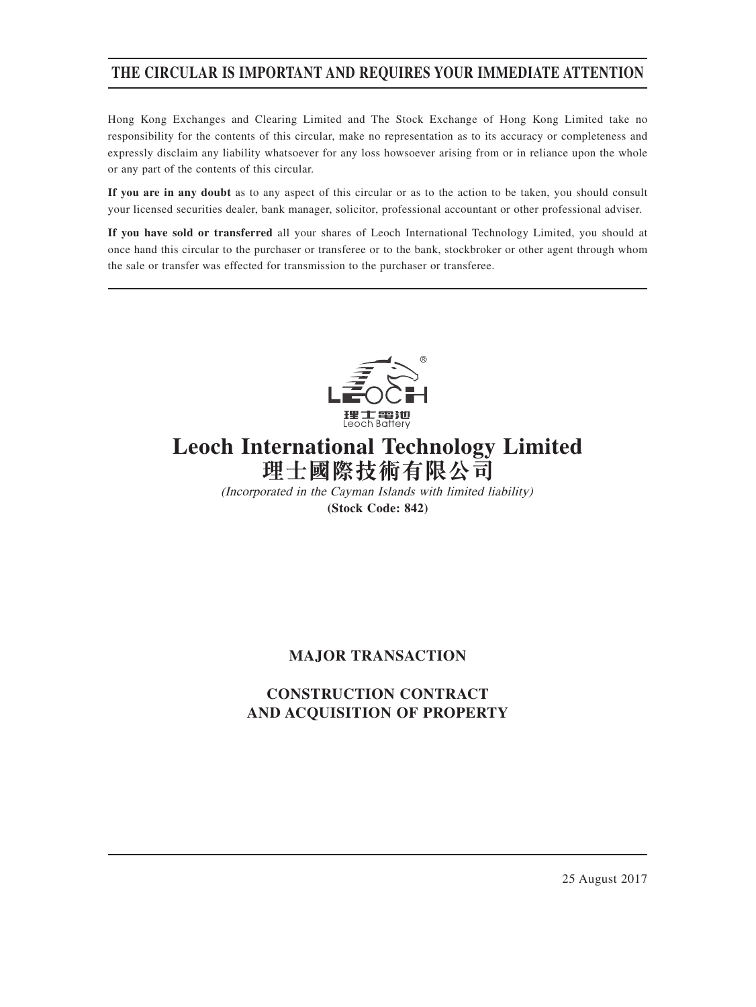# **THE CIRCULAR IS IMPORTANT AND REQUIRES YOUR IMMEDIATE ATTENTION**

Hong Kong Exchanges and Clearing Limited and The Stock Exchange of Hong Kong Limited take no responsibility for the contents of this circular, make no representation as to its accuracy or completeness and expressly disclaim any liability whatsoever for any loss howsoever arising from or in reliance upon the whole or any part of the contents of this circular.

**If you are in any doubt** as to any aspect of this circular or as to the action to be taken, you should consult your licensed securities dealer, bank manager, solicitor, professional accountant or other professional adviser.

**If you have sold or transferred** all your shares of Leoch International Technology Limited, you should at once hand this circular to the purchaser or transferee or to the bank, stockbroker or other agent through whom the sale or transfer was effected for transmission to the purchaser or transferee.



# **Leoch International Technology Limited 理士國際技術有限公司**

(Incorporated in the Cayman Islands with limited liability) **(Stock Code: 842)**

# **MAJOR TRANSACTION**

**CONSTRUCTION CONTRACT AND ACQUISITION OF PROPERTY**

25 August 2017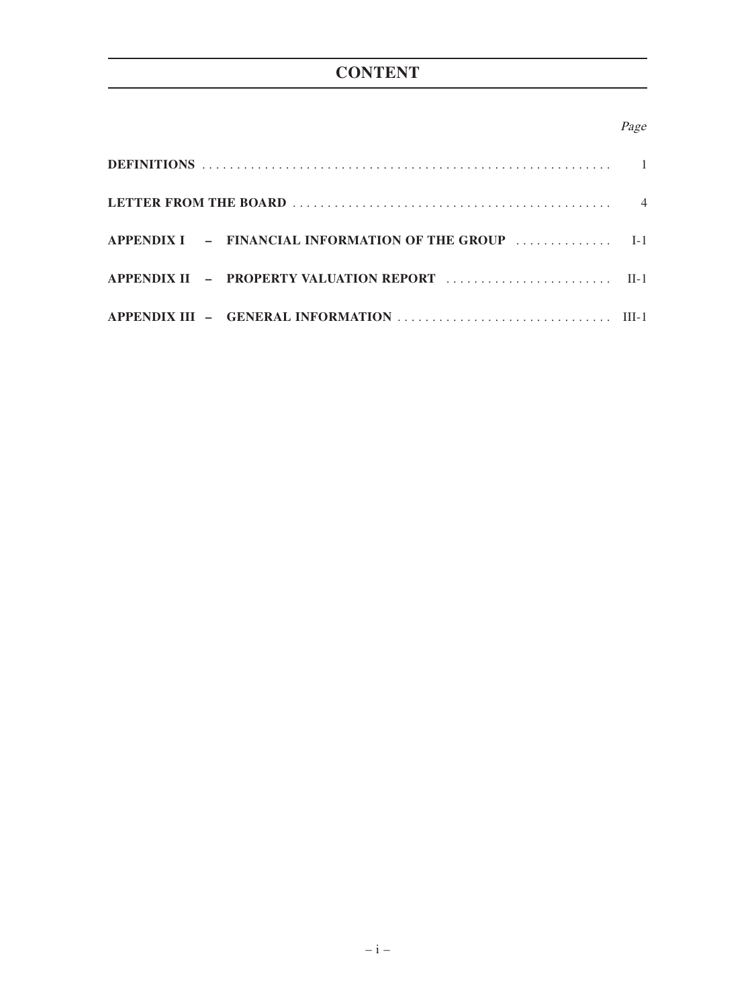# **CONTENT**

# Page

| APPENDIX $I = FINANCIAL INFORMATION OF THE GROUP$ |  |
|---------------------------------------------------|--|
|                                                   |  |
|                                                   |  |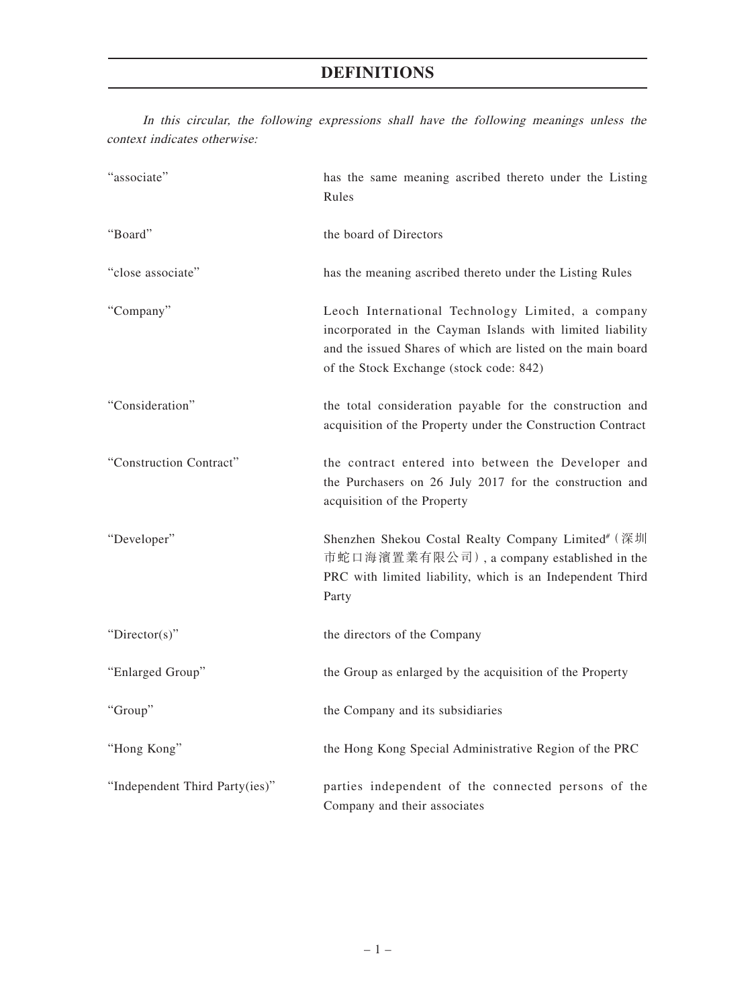# **DEFINITIONS**

| context indicates otherwise:   |                                                                                                                                                                                                                          |
|--------------------------------|--------------------------------------------------------------------------------------------------------------------------------------------------------------------------------------------------------------------------|
| "associate"                    | has the same meaning ascribed thereto under the Listing<br>Rules                                                                                                                                                         |
| "Board"                        | the board of Directors                                                                                                                                                                                                   |
| "close associate"              | has the meaning ascribed thereto under the Listing Rules                                                                                                                                                                 |
| "Company"                      | Leoch International Technology Limited, a company<br>incorporated in the Cayman Islands with limited liability<br>and the issued Shares of which are listed on the main board<br>of the Stock Exchange (stock code: 842) |
| "Consideration"                | the total consideration payable for the construction and<br>acquisition of the Property under the Construction Contract                                                                                                  |
| "Construction Contract"        | the contract entered into between the Developer and<br>the Purchasers on 26 July 2017 for the construction and<br>acquisition of the Property                                                                            |
| "Developer"                    | Shenzhen Shekou Costal Realty Company Limited <sup>#</sup> (深圳<br>市蛇口海濱置業有限公司), a company established in the<br>PRC with limited liability, which is an Independent Third<br>Party                                       |
| "Director(s)"                  | the directors of the Company                                                                                                                                                                                             |
| "Enlarged Group"               | the Group as enlarged by the acquisition of the Property                                                                                                                                                                 |
| "Group"                        | the Company and its subsidiaries                                                                                                                                                                                         |
| "Hong Kong"                    | the Hong Kong Special Administrative Region of the PRC                                                                                                                                                                   |
| "Independent Third Party(ies)" | parties independent of the connected persons of the<br>Company and their associates                                                                                                                                      |

In this circular, the following expressions shall have the following meanings unless the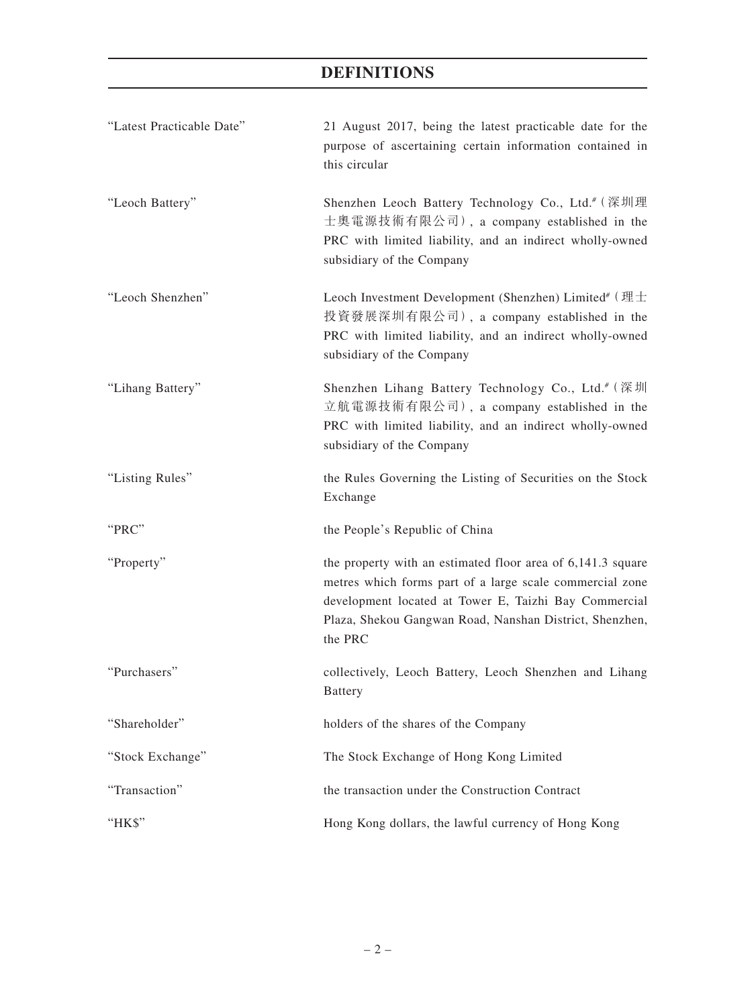# **DEFINITIONS**

| "Latest Practicable Date" | 21 August 2017, being the latest practicable date for the<br>purpose of ascertaining certain information contained in<br>this circular                                                                                                                 |
|---------------------------|--------------------------------------------------------------------------------------------------------------------------------------------------------------------------------------------------------------------------------------------------------|
| "Leoch Battery"           | Shenzhen Leoch Battery Technology Co., Ltd.# (深圳理<br>士奧電源技術有限公司), a company established in the<br>PRC with limited liability, and an indirect wholly-owned<br>subsidiary of the Company                                                                |
| "Leoch Shenzhen"          | Leoch Investment Development (Shenzhen) Limited <sup>#</sup> (理士<br>投資發展深圳有限公司), a company established in the<br>PRC with limited liability, and an indirect wholly-owned<br>subsidiary of the Company                                                 |
| "Lihang Battery"          | Shenzhen Lihang Battery Technology Co., Ltd.# (深圳<br>立航電源技術有限公司), a company established in the<br>PRC with limited liability, and an indirect wholly-owned<br>subsidiary of the Company                                                                |
| "Listing Rules"           | the Rules Governing the Listing of Securities on the Stock<br>Exchange                                                                                                                                                                                 |
| "PRC"                     | the People's Republic of China                                                                                                                                                                                                                         |
| "Property"                | the property with an estimated floor area of 6,141.3 square<br>metres which forms part of a large scale commercial zone<br>development located at Tower E, Taizhi Bay Commercial<br>Plaza, Shekou Gangwan Road, Nanshan District, Shenzhen,<br>the PRC |
| "Purchasers"              | collectively, Leoch Battery, Leoch Shenzhen and Lihang<br><b>Battery</b>                                                                                                                                                                               |
| "Shareholder"             | holders of the shares of the Company                                                                                                                                                                                                                   |
| "Stock Exchange"          | The Stock Exchange of Hong Kong Limited                                                                                                                                                                                                                |
| "Transaction"             | the transaction under the Construction Contract                                                                                                                                                                                                        |
| "HK\$"                    | Hong Kong dollars, the lawful currency of Hong Kong                                                                                                                                                                                                    |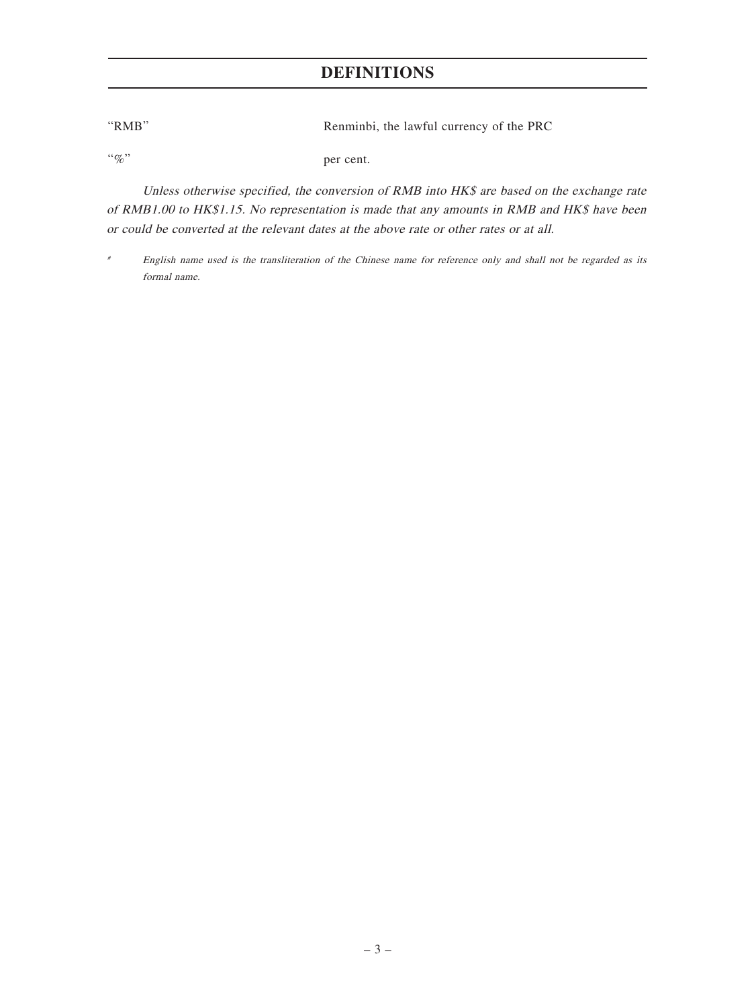# **DEFINITIONS**

| " $RMB"$ | Renminbi, the lawful currency of the PRC |
|----------|------------------------------------------|
|          |                                          |

"%" per cent.

Unless otherwise specified, the conversion of RMB into HK\$ are based on the exchange rate of RMB1.00 to HK\$1.15. No representation is made that any amounts in RMB and HK\$ have been or could be converted at the relevant dates at the above rate or other rates or at all.

English name used is the transliteration of the Chinese name for reference only and shall not be regarded as its formal name.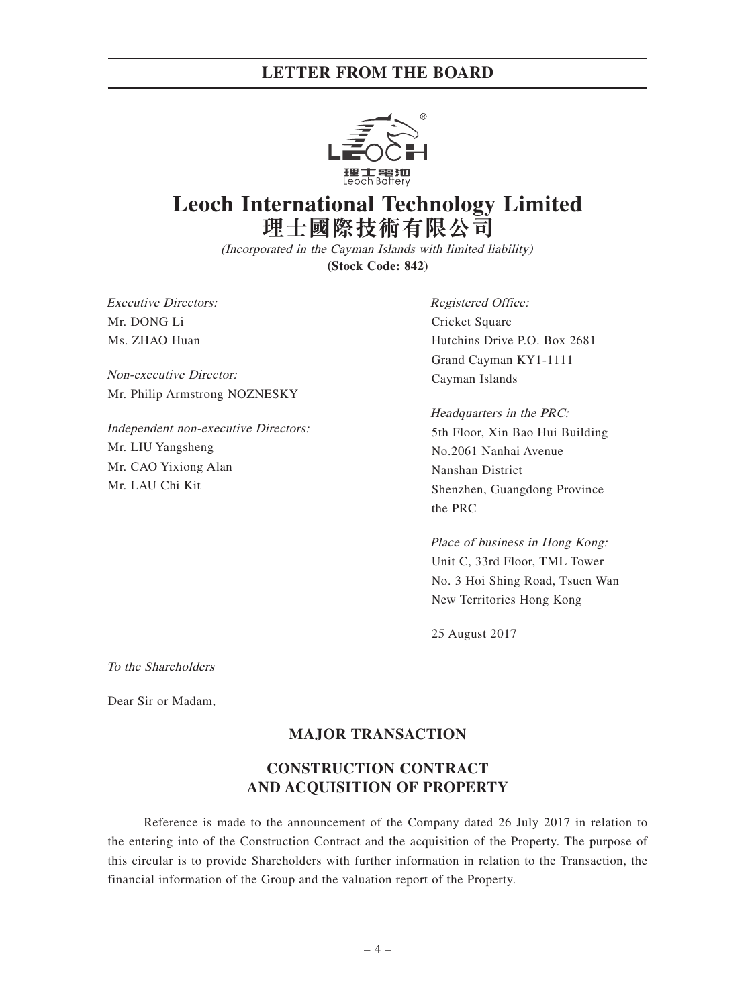

# **Leoch International Technology Limited 理士國際技術有限公司**

(Incorporated in the Cayman Islands with limited liability) **(Stock Code: 842)**

Executive Directors: Mr. DONG Li Ms. ZHAO Huan

Non-executive Director: Mr. Philip Armstrong NOZNESKY

Independent non-executive Directors: Mr. LIU Yangsheng Mr. CAO Yixiong Alan Mr. LAU Chi Kit

Registered Office: Cricket Square Hutchins Drive P.O. Box 2681 Grand Cayman KY1-1111 Cayman Islands

Headquarters in the PRC: 5th Floor, Xin Bao Hui Building No.2061 Nanhai Avenue Nanshan District Shenzhen, Guangdong Province the PRC

Place of business in Hong Kong: Unit C, 33rd Floor, TML Tower No. 3 Hoi Shing Road, Tsuen Wan New Territories Hong Kong

25 August 2017

To the Shareholders

Dear Sir or Madam,

# **MAJOR TRANSACTION**

# **CONSTRUCTION CONTRACT AND ACQUISITION OF PROPERTY**

Reference is made to the announcement of the Company dated 26 July 2017 in relation to the entering into of the Construction Contract and the acquisition of the Property. The purpose of this circular is to provide Shareholders with further information in relation to the Transaction, the financial information of the Group and the valuation report of the Property.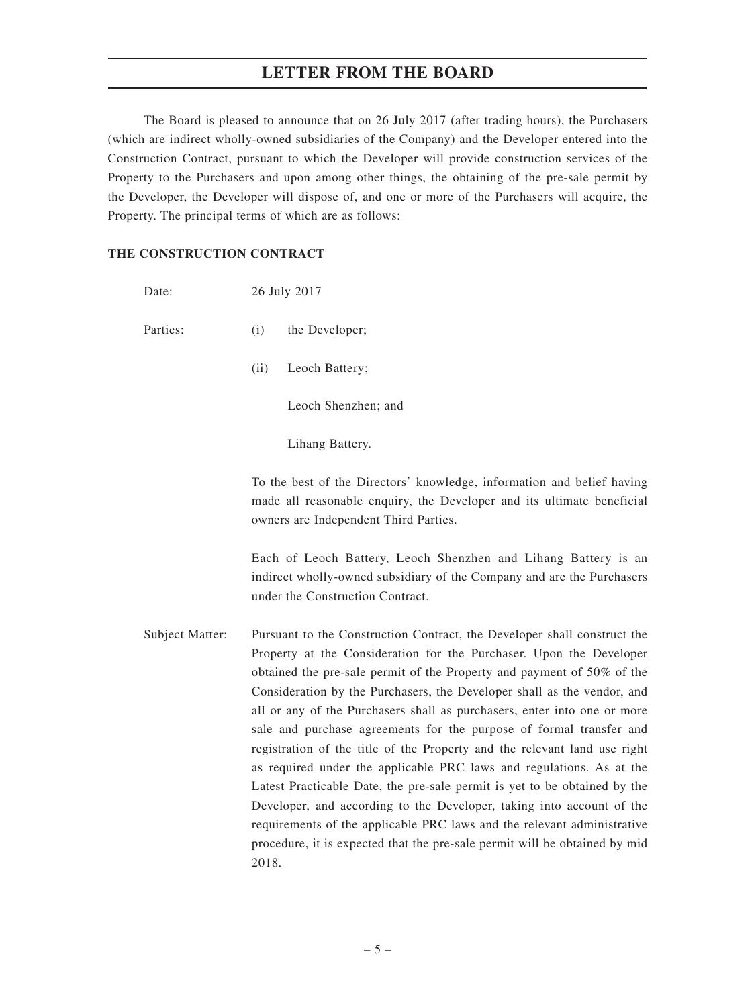The Board is pleased to announce that on 26 July 2017 (after trading hours), the Purchasers (which are indirect wholly-owned subsidiaries of the Company) and the Developer entered into the Construction Contract, pursuant to which the Developer will provide construction services of the Property to the Purchasers and upon among other things, the obtaining of the pre-sale permit by the Developer, the Developer will dispose of, and one or more of the Purchasers will acquire, the Property. The principal terms of which are as follows:

# **THE CONSTRUCTION CONTRACT**

Date: 26 July 2017

Parties: (i) the Developer;

(ii) Leoch Battery;

Leoch Shenzhen; and

Lihang Battery.

To the best of the Directors' knowledge, information and belief having made all reasonable enquiry, the Developer and its ultimate beneficial owners are Independent Third Parties.

Each of Leoch Battery, Leoch Shenzhen and Lihang Battery is an indirect wholly-owned subsidiary of the Company and are the Purchasers under the Construction Contract.

Subject Matter: Pursuant to the Construction Contract, the Developer shall construct the Property at the Consideration for the Purchaser. Upon the Developer obtained the pre-sale permit of the Property and payment of 50% of the Consideration by the Purchasers, the Developer shall as the vendor, and all or any of the Purchasers shall as purchasers, enter into one or more sale and purchase agreements for the purpose of formal transfer and registration of the title of the Property and the relevant land use right as required under the applicable PRC laws and regulations. As at the Latest Practicable Date, the pre-sale permit is yet to be obtained by the Developer, and according to the Developer, taking into account of the requirements of the applicable PRC laws and the relevant administrative procedure, it is expected that the pre-sale permit will be obtained by mid 2018.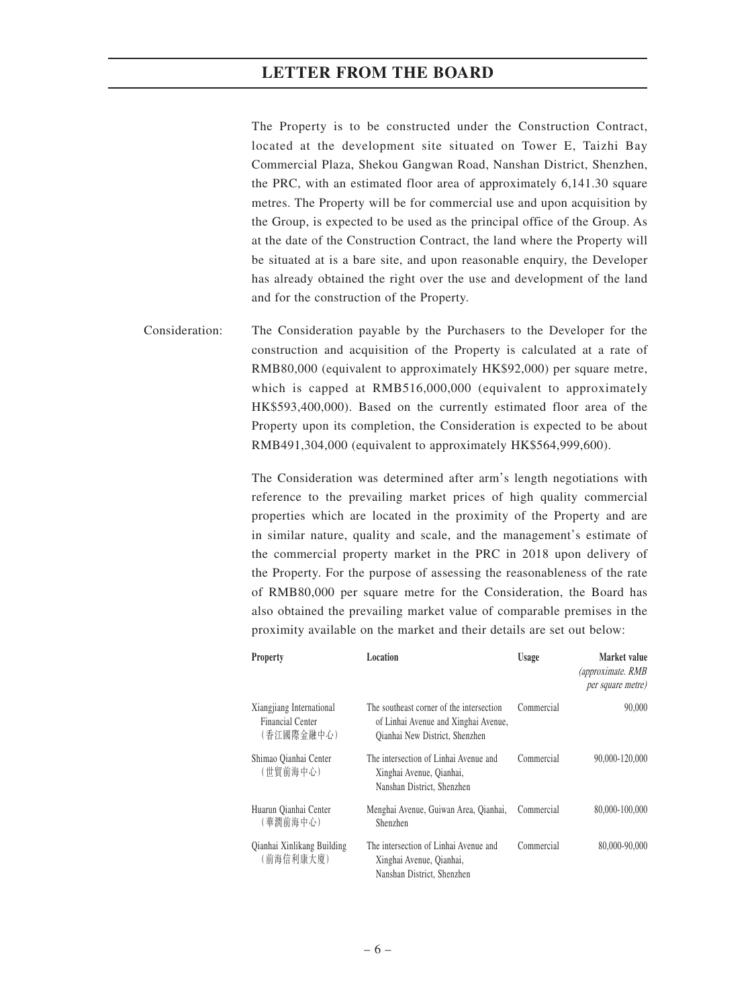The Property is to be constructed under the Construction Contract, located at the development site situated on Tower E, Taizhi Bay Commercial Plaza, Shekou Gangwan Road, Nanshan District, Shenzhen, the PRC, with an estimated floor area of approximately 6,141.30 square metres. The Property will be for commercial use and upon acquisition by the Group, is expected to be used as the principal office of the Group. As at the date of the Construction Contract, the land where the Property will be situated at is a bare site, and upon reasonable enquiry, the Developer has already obtained the right over the use and development of the land and for the construction of the Property.

Consideration: The Consideration payable by the Purchasers to the Developer for the construction and acquisition of the Property is calculated at a rate of RMB80,000 (equivalent to approximately HK\$92,000) per square metre, which is capped at RMB516,000,000 (equivalent to approximately HK\$593,400,000). Based on the currently estimated floor area of the Property upon its completion, the Consideration is expected to be about RMB491,304,000 (equivalent to approximately HK\$564,999,600).

> The Consideration was determined after arm's length negotiations with reference to the prevailing market prices of high quality commercial properties which are located in the proximity of the Property and are in similar nature, quality and scale, and the management's estimate of the commercial property market in the PRC in 2018 upon delivery of the Property. For the purpose of assessing the reasonableness of the rate of RMB80,000 per square metre for the Consideration, the Board has also obtained the prevailing market value of comparable premises in the proximity available on the market and their details are set out below:

| <b>Property</b>                                            | Location                                                                                                           | <b>Usage</b> | Market value<br>(approximate. RMB<br>per square metre) |
|------------------------------------------------------------|--------------------------------------------------------------------------------------------------------------------|--------------|--------------------------------------------------------|
| Xiangjiang International<br>Financial Center<br>(香江國際金融中心) | The southeast corner of the intersection<br>of Linhai Avenue and Xinghai Avenue,<br>Qianhai New District, Shenzhen | Commercial   | 90,000                                                 |
| Shimao Qianhai Center<br>(世貿前海中心)                          | The intersection of Linhai Avenue and<br>Xinghai Avenue, Qianhai,<br>Nanshan District, Shenzhen                    | Commercial   | 90,000-120,000                                         |
| Huarun Qianhai Center<br>(華潤前海中心)                          | Menghai Avenue, Guiwan Area, Qianhai,<br>Shenzhen                                                                  | Commercial   | 80,000-100,000                                         |
| Qianhai Xinlikang Building<br>(前海信利康大廈)                    | The intersection of Linhai Avenue and<br>Xinghai Avenue, Qianhai,<br>Nanshan District, Shenzhen                    | Commercial   | 80,000-90,000                                          |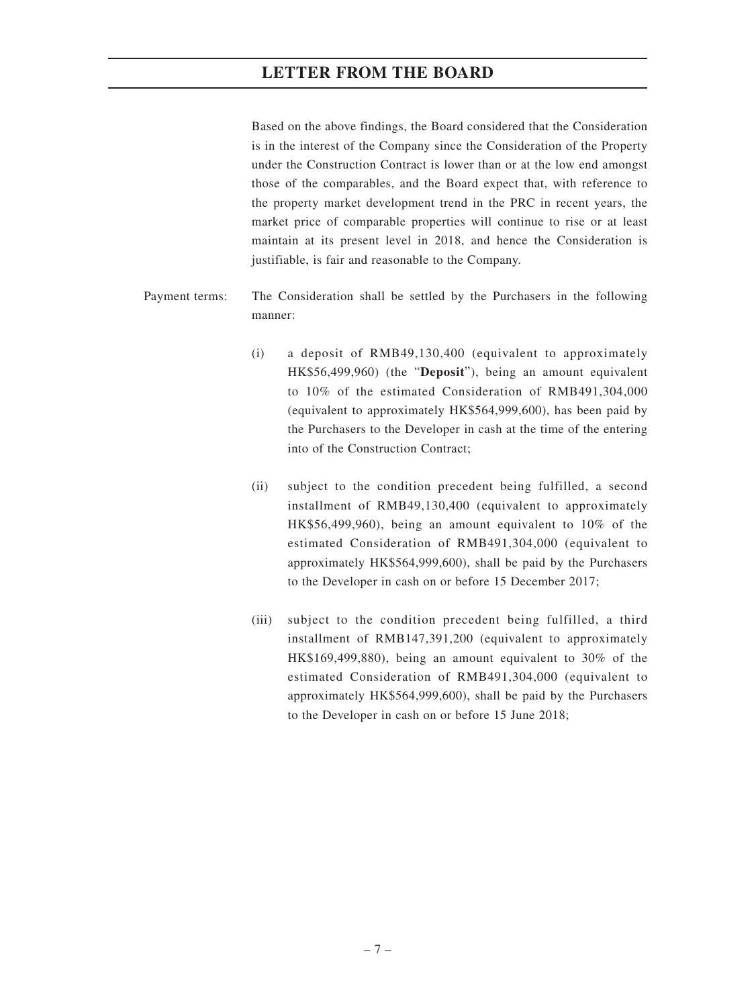Based on the above findings, the Board considered that the Consideration is in the interest of the Company since the Consideration of the Property under the Construction Contract is lower than or at the low end amongst those of the comparables, and the Board expect that, with reference to the property market development trend in the PRC in recent years, the market price of comparable properties will continue to rise or at least maintain at its present level in 2018, and hence the Consideration is justifiable, is fair and reasonable to the Company.

- Payment terms: The Consideration shall be settled by the Purchasers in the following manner:
	- (i) a deposit of RMB49,130,400 (equivalent to approximately HK\$56,499,960) (the "**Deposit**"), being an amount equivalent to 10% of the estimated Consideration of RMB491,304,000 (equivalent to approximately HK\$564,999,600), has been paid by the Purchasers to the Developer in cash at the time of the entering into of the Construction Contract;
	- (ii) subject to the condition precedent being fulfilled, a second installment of RMB49,130,400 (equivalent to approximately HK\$56,499,960), being an amount equivalent to 10% of the estimated Consideration of RMB491,304,000 (equivalent to approximately HK\$564,999,600), shall be paid by the Purchasers to the Developer in cash on or before 15 December 2017;
	- (iii) subject to the condition precedent being fulfilled, a third installment of RMB147,391,200 (equivalent to approximately HK\$169,499,880), being an amount equivalent to 30% of the estimated Consideration of RMB491,304,000 (equivalent to approximately HK\$564,999,600), shall be paid by the Purchasers to the Developer in cash on or before 15 June 2018;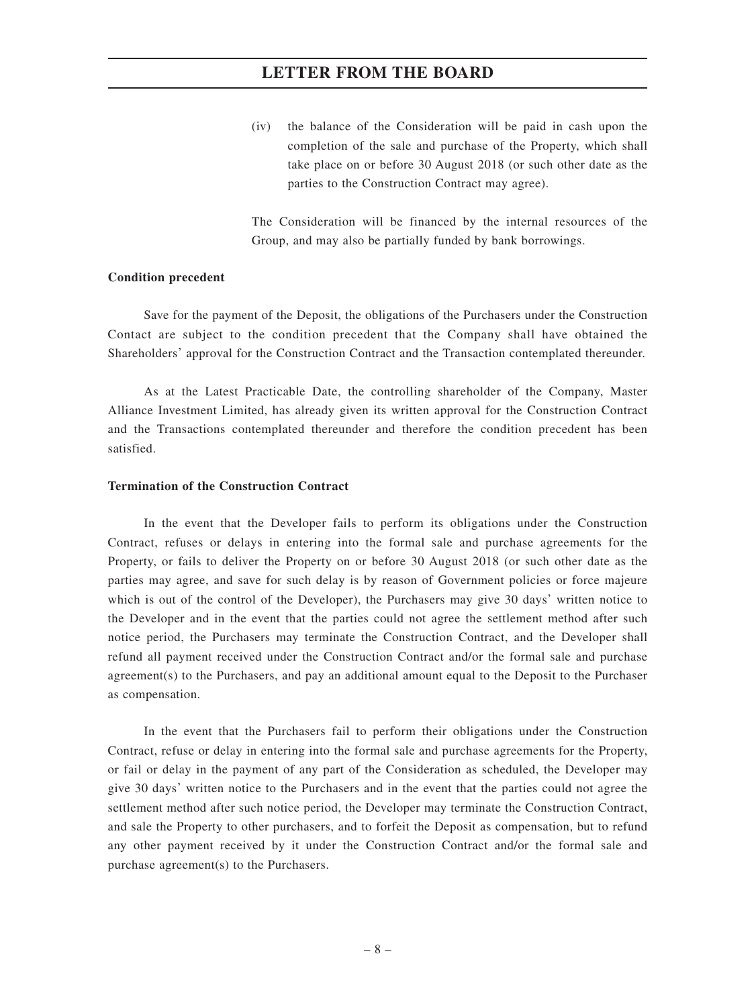(iv) the balance of the Consideration will be paid in cash upon the completion of the sale and purchase of the Property, which shall take place on or before 30 August 2018 (or such other date as the parties to the Construction Contract may agree).

The Consideration will be financed by the internal resources of the Group, and may also be partially funded by bank borrowings.

# **Condition precedent**

Save for the payment of the Deposit, the obligations of the Purchasers under the Construction Contact are subject to the condition precedent that the Company shall have obtained the Shareholders' approval for the Construction Contract and the Transaction contemplated thereunder.

As at the Latest Practicable Date, the controlling shareholder of the Company, Master Alliance Investment Limited, has already given its written approval for the Construction Contract and the Transactions contemplated thereunder and therefore the condition precedent has been satisfied.

### **Termination of the Construction Contract**

In the event that the Developer fails to perform its obligations under the Construction Contract, refuses or delays in entering into the formal sale and purchase agreements for the Property, or fails to deliver the Property on or before 30 August 2018 (or such other date as the parties may agree, and save for such delay is by reason of Government policies or force majeure which is out of the control of the Developer), the Purchasers may give 30 days' written notice to the Developer and in the event that the parties could not agree the settlement method after such notice period, the Purchasers may terminate the Construction Contract, and the Developer shall refund all payment received under the Construction Contract and/or the formal sale and purchase agreement(s) to the Purchasers, and pay an additional amount equal to the Deposit to the Purchaser as compensation.

In the event that the Purchasers fail to perform their obligations under the Construction Contract, refuse or delay in entering into the formal sale and purchase agreements for the Property, or fail or delay in the payment of any part of the Consideration as scheduled, the Developer may give 30 days' written notice to the Purchasers and in the event that the parties could not agree the settlement method after such notice period, the Developer may terminate the Construction Contract, and sale the Property to other purchasers, and to forfeit the Deposit as compensation, but to refund any other payment received by it under the Construction Contract and/or the formal sale and purchase agreement(s) to the Purchasers.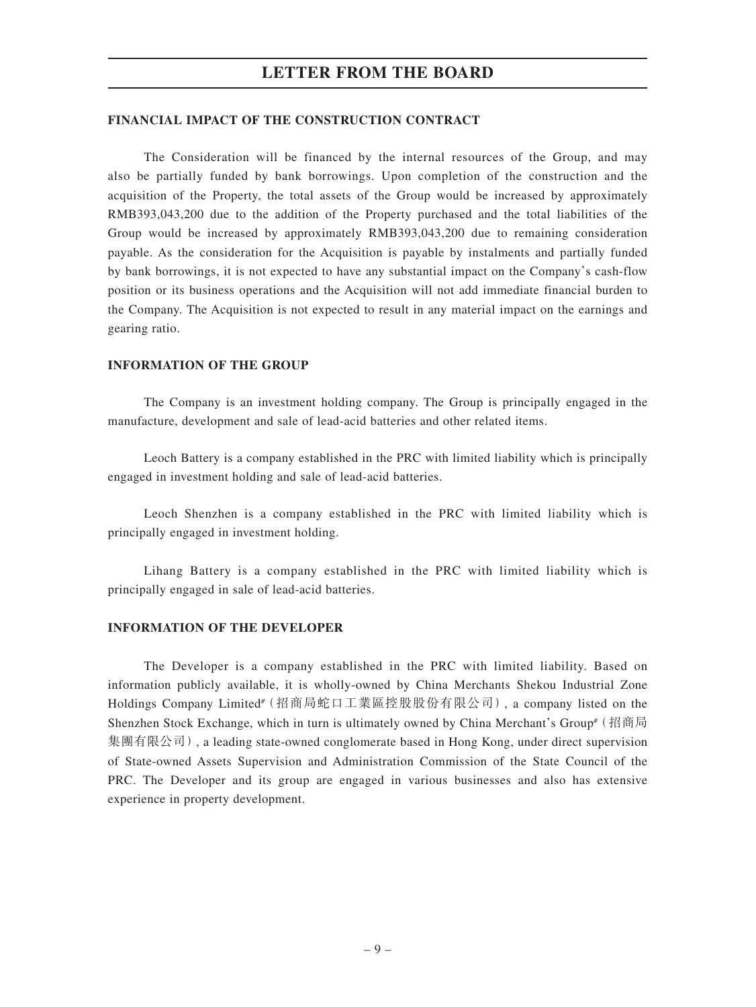### **FINANCIAL IMPACT OF THE CONSTRUCTION CONTRACT**

The Consideration will be financed by the internal resources of the Group, and may also be partially funded by bank borrowings. Upon completion of the construction and the acquisition of the Property, the total assets of the Group would be increased by approximately RMB393,043,200 due to the addition of the Property purchased and the total liabilities of the Group would be increased by approximately RMB393,043,200 due to remaining consideration payable. As the consideration for the Acquisition is payable by instalments and partially funded by bank borrowings, it is not expected to have any substantial impact on the Company's cash-flow position or its business operations and the Acquisition will not add immediate financial burden to the Company. The Acquisition is not expected to result in any material impact on the earnings and gearing ratio.

### **INFORMATION OF THE GROUP**

The Company is an investment holding company. The Group is principally engaged in the manufacture, development and sale of lead-acid batteries and other related items.

Leoch Battery is a company established in the PRC with limited liability which is principally engaged in investment holding and sale of lead-acid batteries.

Leoch Shenzhen is a company established in the PRC with limited liability which is principally engaged in investment holding.

Lihang Battery is a company established in the PRC with limited liability which is principally engaged in sale of lead-acid batteries.

## **INFORMATION OF THE DEVELOPER**

The Developer is a company established in the PRC with limited liability. Based on information publicly available, it is wholly-owned by China Merchants Shekou Industrial Zone Holdings Company Limited# (招商局蛇口工業區控股股份有限公司), a company listed on the Shenzhen Stock Exchange, which in turn is ultimately owned by China Merchant's Group# (招商局 集團有限公司), a leading state-owned conglomerate based in Hong Kong, under direct supervision of State-owned Assets Supervision and Administration Commission of the State Council of the PRC. The Developer and its group are engaged in various businesses and also has extensive experience in property development.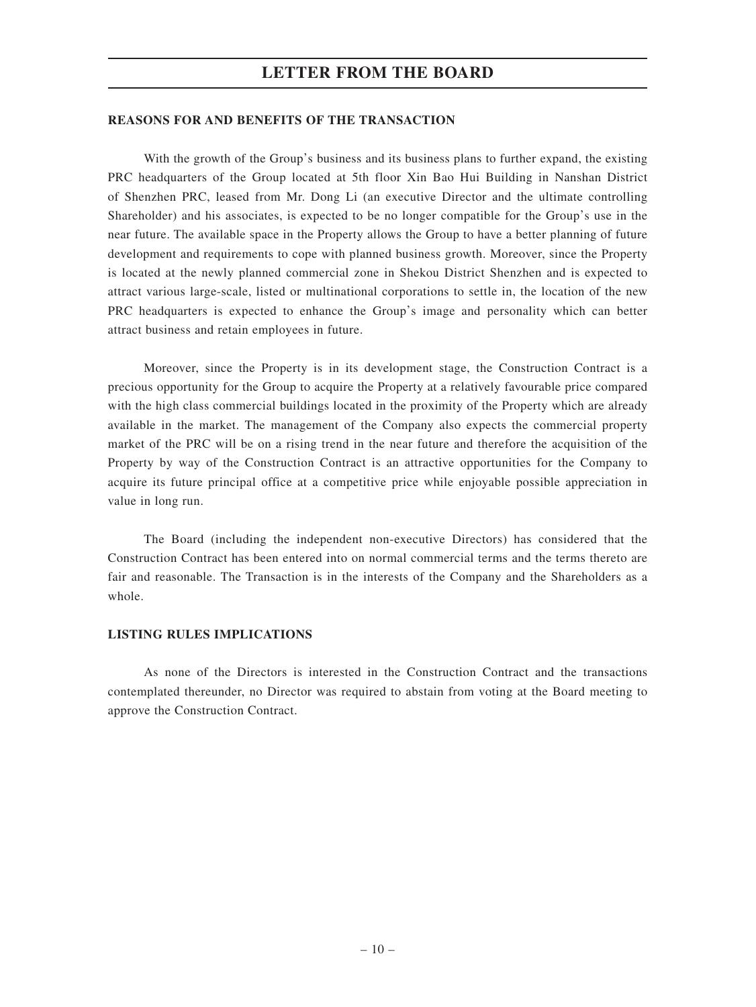### **REASONS FOR AND BENEFITS OF THE TRANSACTION**

With the growth of the Group's business and its business plans to further expand, the existing PRC headquarters of the Group located at 5th floor Xin Bao Hui Building in Nanshan District of Shenzhen PRC, leased from Mr. Dong Li (an executive Director and the ultimate controlling Shareholder) and his associates, is expected to be no longer compatible for the Group's use in the near future. The available space in the Property allows the Group to have a better planning of future development and requirements to cope with planned business growth. Moreover, since the Property is located at the newly planned commercial zone in Shekou District Shenzhen and is expected to attract various large-scale, listed or multinational corporations to settle in, the location of the new PRC headquarters is expected to enhance the Group's image and personality which can better attract business and retain employees in future.

Moreover, since the Property is in its development stage, the Construction Contract is a precious opportunity for the Group to acquire the Property at a relatively favourable price compared with the high class commercial buildings located in the proximity of the Property which are already available in the market. The management of the Company also expects the commercial property market of the PRC will be on a rising trend in the near future and therefore the acquisition of the Property by way of the Construction Contract is an attractive opportunities for the Company to acquire its future principal office at a competitive price while enjoyable possible appreciation in value in long run.

The Board (including the independent non-executive Directors) has considered that the Construction Contract has been entered into on normal commercial terms and the terms thereto are fair and reasonable. The Transaction is in the interests of the Company and the Shareholders as a whole.

### **LISTING RULES IMPLICATIONS**

As none of the Directors is interested in the Construction Contract and the transactions contemplated thereunder, no Director was required to abstain from voting at the Board meeting to approve the Construction Contract.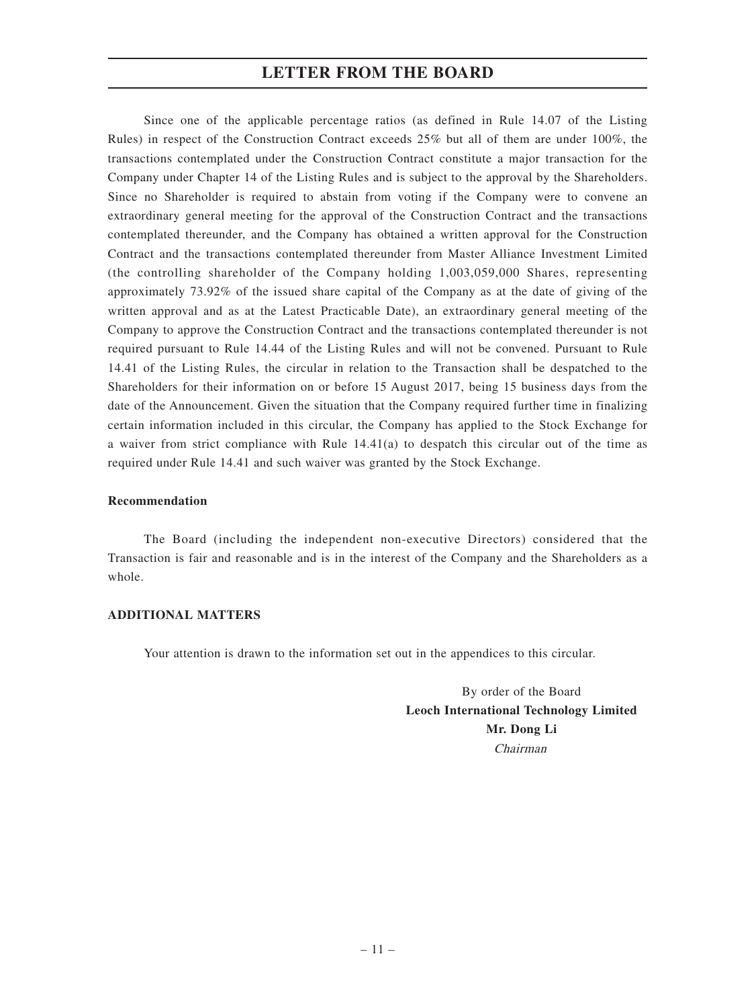Since one of the applicable percentage ratios (as defined in Rule 14.07 of the Listing Rules) in respect of the Construction Contract exceeds 25% but all of them are under 100%, the transactions contemplated under the Construction Contract constitute a major transaction for the Company under Chapter 14 of the Listing Rules and is subject to the approval by the Shareholders. Since no Shareholder is required to abstain from voting if the Company were to convene an extraordinary general meeting for the approval of the Construction Contract and the transactions contemplated thereunder, and the Company has obtained a written approval for the Construction Contract and the transactions contemplated thereunder from Master Alliance Investment Limited (the controlling shareholder of the Company holding 1,003,059,000 Shares, representing approximately 73.92% of the issued share capital of the Company as at the date of giving of the written approval and as at the Latest Practicable Date), an extraordinary general meeting of the Company to approve the Construction Contract and the transactions contemplated thereunder is not required pursuant to Rule 14.44 of the Listing Rules and will not be convened. Pursuant to Rule 14.41 of the Listing Rules, the circular in relation to the Transaction shall be despatched to the Shareholders for their information on or before 15 August 2017, being 15 business days from the date of the Announcement. Given the situation that the Company required further time in finalizing certain information included in this circular, the Company has applied to the Stock Exchange for a waiver from strict compliance with Rule 14.41(a) to despatch this circular out of the time as required under Rule 14.41 and such waiver was granted by the Stock Exchange.

### **Recommendation**

The Board (including the independent non-executive Directors) considered that the Transaction is fair and reasonable and is in the interest of the Company and the Shareholders as a whole.

### **ADDITIONAL MATTERS**

Your attention is drawn to the information set out in the appendices to this circular.

By order of the Board **Leoch International Technology Limited Mr. Dong Li** Chairman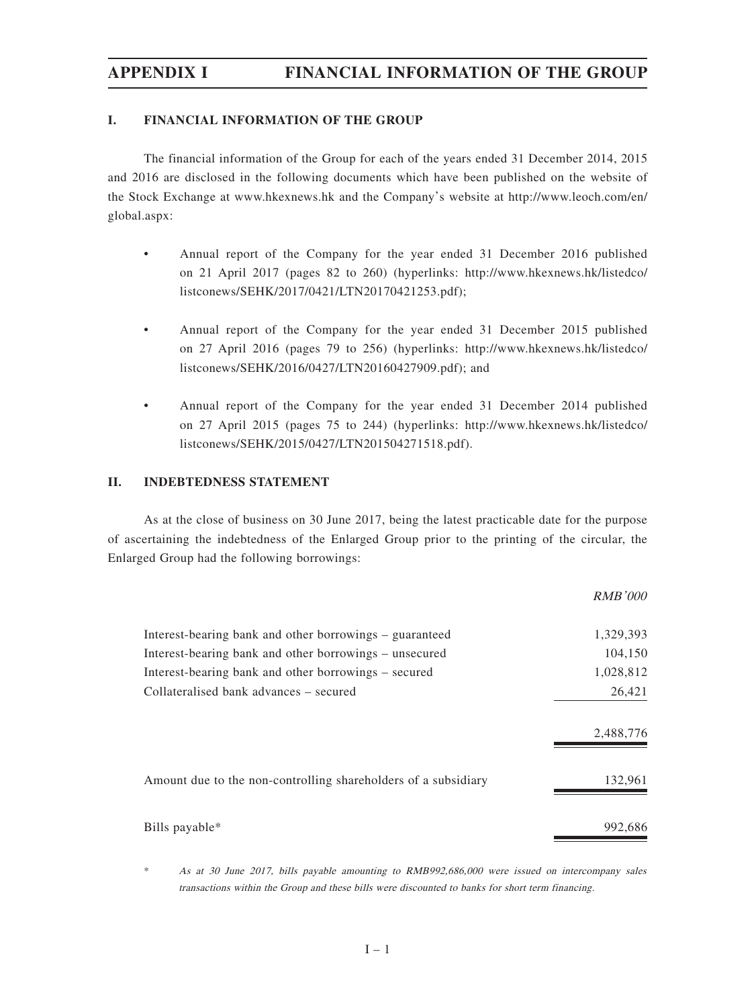# **APPENDIX I FINANCIAL INFORMATION OF THE GROUP**

# **I. FINANCIAL INFORMATION OF THE GROUP**

The financial information of the Group for each of the years ended 31 December 2014, 2015 and 2016 are disclosed in the following documents which have been published on the website of the Stock Exchange at www.hkexnews.hk and the Company's website at http://www.leoch.com/en/ global.aspx:

- Annual report of the Company for the year ended 31 December 2016 published on 21 April 2017 (pages 82 to 260) (hyperlinks: http://www.hkexnews.hk/listedco/ listconews/SEHK/2017/0421/LTN20170421253.pdf);
- Annual report of the Company for the year ended 31 December 2015 published on 27 April 2016 (pages 79 to 256) (hyperlinks: http://www.hkexnews.hk/listedco/ listconews/SEHK/2016/0427/LTN20160427909.pdf); and
- Annual report of the Company for the year ended 31 December 2014 published on 27 April 2015 (pages 75 to 244) (hyperlinks: http://www.hkexnews.hk/listedco/ listconews/SEHK/2015/0427/LTN201504271518.pdf).

# **II. INDEBTEDNESS STATEMENT**

As at the close of business on 30 June 2017, being the latest practicable date for the purpose of ascertaining the indebtedness of the Enlarged Group prior to the printing of the circular, the Enlarged Group had the following borrowings:

|                                                                | <i>RMB'000</i> |
|----------------------------------------------------------------|----------------|
| Interest-bearing bank and other borrowings – guaranteed        | 1,329,393      |
| Interest-bearing bank and other borrowings – unsecured         | 104,150        |
| Interest-bearing bank and other borrowings – secured           | 1,028,812      |
| Collateralised bank advances – secured                         | 26,421         |
|                                                                |                |
|                                                                | 2,488,776      |
|                                                                |                |
| Amount due to the non-controlling shareholders of a subsidiary | 132,961        |
|                                                                |                |
| Bills payable*                                                 | 992,686        |

As at 30 June 2017, bills payable amounting to RMB992,686,000 were issued on intercompany sales transactions within the Group and these bills were discounted to banks for short term financing.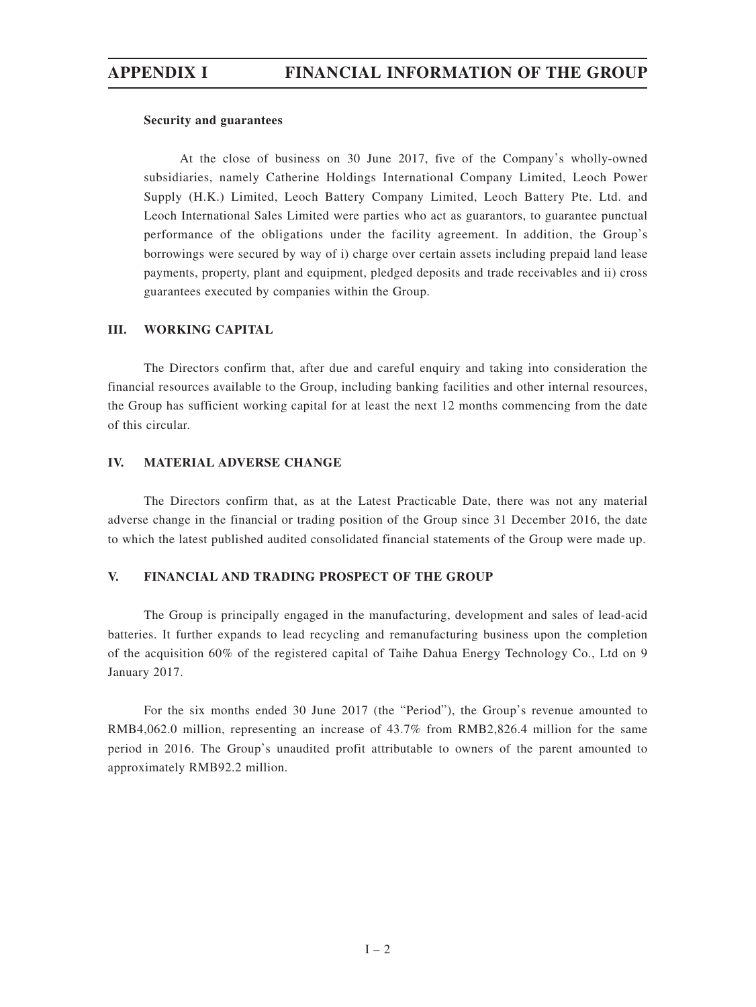# **APPENDIX I FINANCIAL INFORMATION OF THE GROUP**

### **Security and guarantees**

At the close of business on 30 June 2017, five of the Company's wholly-owned subsidiaries, namely Catherine Holdings International Company Limited, Leoch Power Supply (H.K.) Limited, Leoch Battery Company Limited, Leoch Battery Pte. Ltd. and Leoch International Sales Limited were parties who act as guarantors, to guarantee punctual performance of the obligations under the facility agreement. In addition, the Group's borrowings were secured by way of i) charge over certain assets including prepaid land lease payments, property, plant and equipment, pledged deposits and trade receivables and ii) cross guarantees executed by companies within the Group.

## **III. WORKING CAPITAL**

The Directors confirm that, after due and careful enquiry and taking into consideration the financial resources available to the Group, including banking facilities and other internal resources, the Group has sufficient working capital for at least the next 12 months commencing from the date of this circular.

## **IV. MATERIAL ADVERSE CHANGE**

The Directors confirm that, as at the Latest Practicable Date, there was not any material adverse change in the financial or trading position of the Group since 31 December 2016, the date to which the latest published audited consolidated financial statements of the Group were made up.

### **V. FINANCIAL AND TRADING PROSPECT OF THE GROUP**

The Group is principally engaged in the manufacturing, development and sales of lead-acid batteries. It further expands to lead recycling and remanufacturing business upon the completion of the acquisition 60% of the registered capital of Taihe Dahua Energy Technology Co., Ltd on 9 January 2017.

For the six months ended 30 June 2017 (the "Period"), the Group's revenue amounted to RMB4,062.0 million, representing an increase of 43.7% from RMB2,826.4 million for the same period in 2016. The Group's unaudited profit attributable to owners of the parent amounted to approximately RMB92.2 million.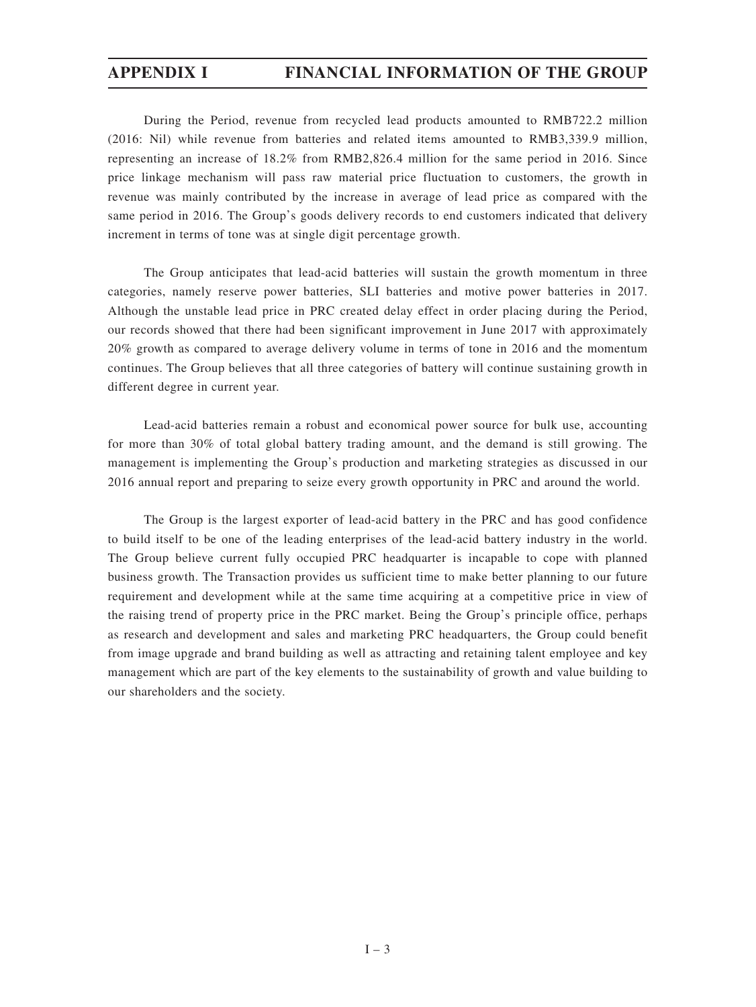# **APPENDIX I FINANCIAL INFORMATION OF THE GROUP**

During the Period, revenue from recycled lead products amounted to RMB722.2 million (2016: Nil) while revenue from batteries and related items amounted to RMB3,339.9 million, representing an increase of 18.2% from RMB2,826.4 million for the same period in 2016. Since price linkage mechanism will pass raw material price fluctuation to customers, the growth in revenue was mainly contributed by the increase in average of lead price as compared with the same period in 2016. The Group's goods delivery records to end customers indicated that delivery increment in terms of tone was at single digit percentage growth.

The Group anticipates that lead-acid batteries will sustain the growth momentum in three categories, namely reserve power batteries, SLI batteries and motive power batteries in 2017. Although the unstable lead price in PRC created delay effect in order placing during the Period, our records showed that there had been significant improvement in June 2017 with approximately 20% growth as compared to average delivery volume in terms of tone in 2016 and the momentum continues. The Group believes that all three categories of battery will continue sustaining growth in different degree in current year.

Lead-acid batteries remain a robust and economical power source for bulk use, accounting for more than 30% of total global battery trading amount, and the demand is still growing. The management is implementing the Group's production and marketing strategies as discussed in our 2016 annual report and preparing to seize every growth opportunity in PRC and around the world.

The Group is the largest exporter of lead-acid battery in the PRC and has good confidence to build itself to be one of the leading enterprises of the lead-acid battery industry in the world. The Group believe current fully occupied PRC headquarter is incapable to cope with planned business growth. The Transaction provides us sufficient time to make better planning to our future requirement and development while at the same time acquiring at a competitive price in view of the raising trend of property price in the PRC market. Being the Group's principle office, perhaps as research and development and sales and marketing PRC headquarters, the Group could benefit from image upgrade and brand building as well as attracting and retaining talent employee and key management which are part of the key elements to the sustainability of growth and value building to our shareholders and the society.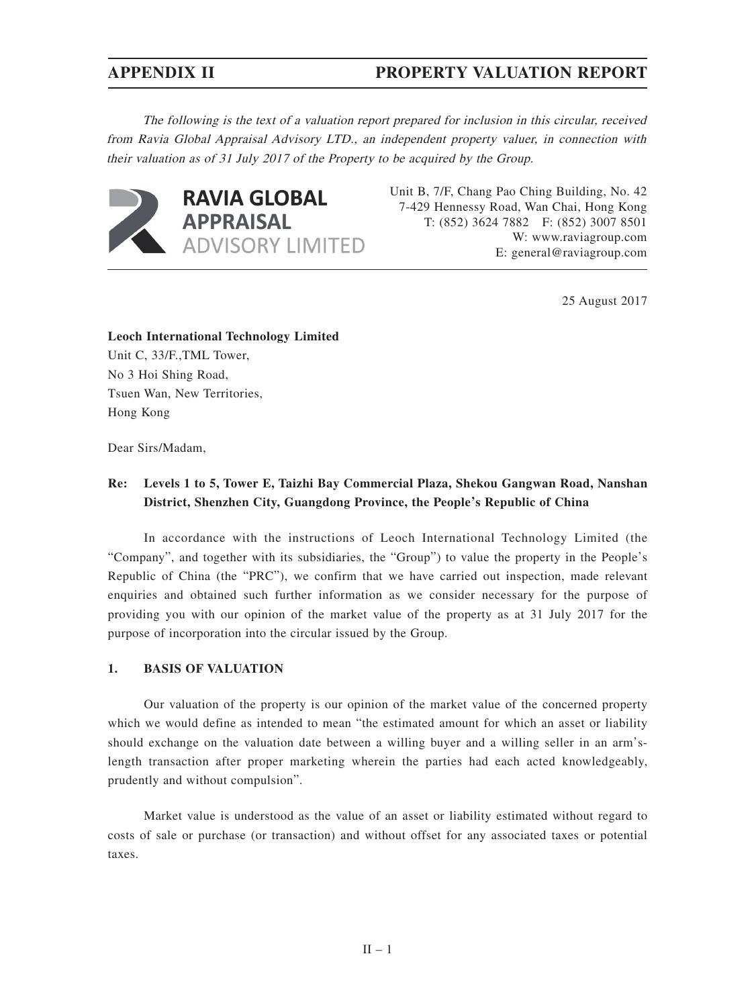# **APPENDIX II PROPERTY VALUATION REPORT**

The following is the text of a valuation report prepared for inclusion in this circular, received from Ravia Global Appraisal Advisory LTD., an independent property valuer, in connection with their valuation as of 31 July 2017 of the Property to be acquired by the Group.



Unit B, 7/F, Chang Pao Ching Building, No. 42 7-429 Hennessy Road, Wan Chai, Hong Kong T: (852) 3624 7882 F: (852) 3007 8501 W: www.raviagroup.com E: general@raviagroup.com

25 August 2017

**Leoch International Technology Limited** Unit C, 33/F.,TML Tower, No 3 Hoi Shing Road, Tsuen Wan, New Territories, Hong Kong

Dear Sirs/Madam,

# **Re: Levels 1 to 5, Tower E, Taizhi Bay Commercial Plaza, Shekou Gangwan Road, Nanshan District, Shenzhen City, Guangdong Province, the People's Republic of China**

In accordance with the instructions of Leoch International Technology Limited (the "Company", and together with its subsidiaries, the "Group") to value the property in the People's Republic of China (the "PRC"), we confirm that we have carried out inspection, made relevant enquiries and obtained such further information as we consider necessary for the purpose of providing you with our opinion of the market value of the property as at 31 July 2017 for the purpose of incorporation into the circular issued by the Group.

# **1. BASIS OF VALUATION**

Our valuation of the property is our opinion of the market value of the concerned property which we would define as intended to mean "the estimated amount for which an asset or liability should exchange on the valuation date between a willing buyer and a willing seller in an arm'slength transaction after proper marketing wherein the parties had each acted knowledgeably, prudently and without compulsion".

Market value is understood as the value of an asset or liability estimated without regard to costs of sale or purchase (or transaction) and without offset for any associated taxes or potential taxes.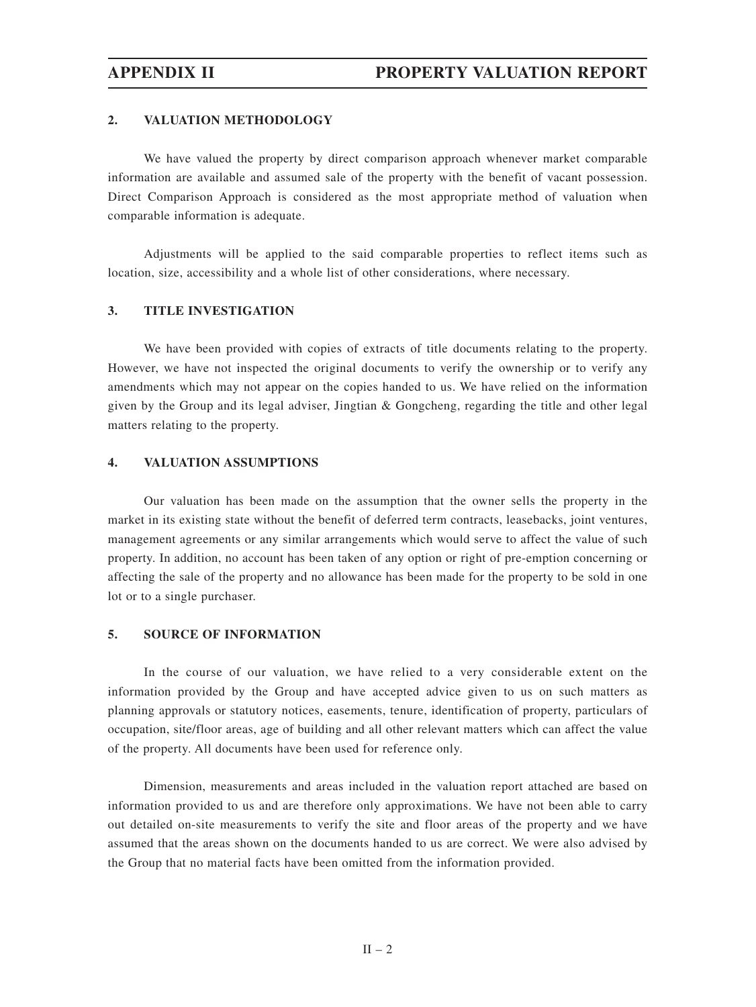# **2. VALUATION METHODOLOGY**

We have valued the property by direct comparison approach whenever market comparable information are available and assumed sale of the property with the benefit of vacant possession. Direct Comparison Approach is considered as the most appropriate method of valuation when comparable information is adequate.

Adjustments will be applied to the said comparable properties to reflect items such as location, size, accessibility and a whole list of other considerations, where necessary.

### **3. TITLE INVESTIGATION**

We have been provided with copies of extracts of title documents relating to the property. However, we have not inspected the original documents to verify the ownership or to verify any amendments which may not appear on the copies handed to us. We have relied on the information given by the Group and its legal adviser, Jingtian & Gongcheng, regarding the title and other legal matters relating to the property.

# **4. VALUATION ASSUMPTIONS**

Our valuation has been made on the assumption that the owner sells the property in the market in its existing state without the benefit of deferred term contracts, leasebacks, joint ventures, management agreements or any similar arrangements which would serve to affect the value of such property. In addition, no account has been taken of any option or right of pre-emption concerning or affecting the sale of the property and no allowance has been made for the property to be sold in one lot or to a single purchaser.

### **5. SOURCE OF INFORMATION**

In the course of our valuation, we have relied to a very considerable extent on the information provided by the Group and have accepted advice given to us on such matters as planning approvals or statutory notices, easements, tenure, identification of property, particulars of occupation, site/floor areas, age of building and all other relevant matters which can affect the value of the property. All documents have been used for reference only.

Dimension, measurements and areas included in the valuation report attached are based on information provided to us and are therefore only approximations. We have not been able to carry out detailed on-site measurements to verify the site and floor areas of the property and we have assumed that the areas shown on the documents handed to us are correct. We were also advised by the Group that no material facts have been omitted from the information provided.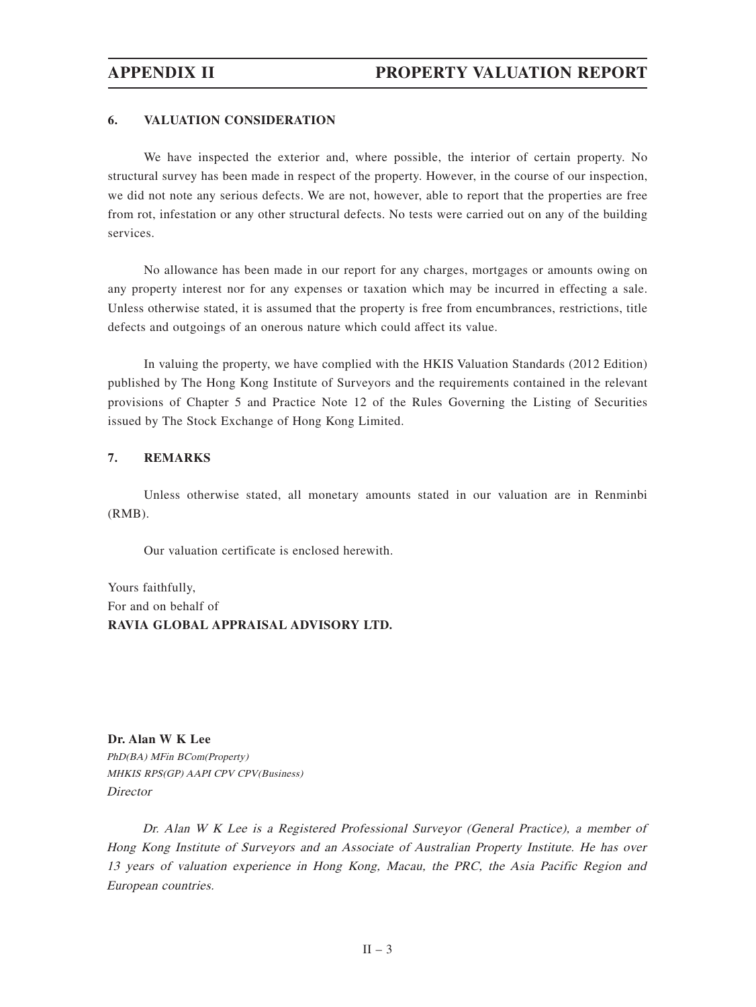# **6. VALUATION CONSIDERATION**

We have inspected the exterior and, where possible, the interior of certain property. No structural survey has been made in respect of the property. However, in the course of our inspection, we did not note any serious defects. We are not, however, able to report that the properties are free from rot, infestation or any other structural defects. No tests were carried out on any of the building services.

No allowance has been made in our report for any charges, mortgages or amounts owing on any property interest nor for any expenses or taxation which may be incurred in effecting a sale. Unless otherwise stated, it is assumed that the property is free from encumbrances, restrictions, title defects and outgoings of an onerous nature which could affect its value.

In valuing the property, we have complied with the HKIS Valuation Standards (2012 Edition) published by The Hong Kong Institute of Surveyors and the requirements contained in the relevant provisions of Chapter 5 and Practice Note 12 of the Rules Governing the Listing of Securities issued by The Stock Exchange of Hong Kong Limited.

## **7. REMARKS**

Unless otherwise stated, all monetary amounts stated in our valuation are in Renminbi (RMB).

Our valuation certificate is enclosed herewith.

Yours faithfully, For and on behalf of **RAVIA GLOBAL APPRAISAL ADVISORY LTD.**

**Dr. Alan W K Lee** PhD(BA) MFin BCom(Property) MHKIS RPS(GP) AAPI CPV CPV(Business) **Director** 

Dr. Alan W K Lee is a Registered Professional Surveyor (General Practice), a member of Hong Kong Institute of Surveyors and an Associate of Australian Property Institute. He has over 13 years of valuation experience in Hong Kong, Macau, the PRC, the Asia Pacific Region and European countries.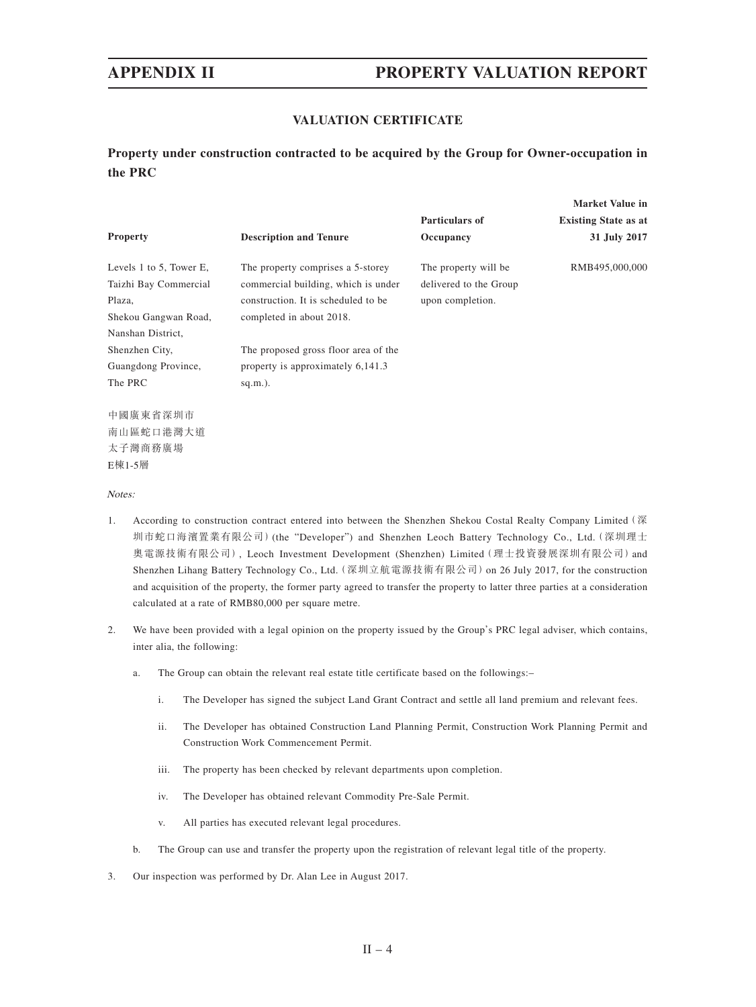# **APPENDIX II PROPERTY VALUATION REPORT**

**Market Value in**

### **VALUATION CERTIFICATE**

**Property under construction contracted to be acquired by the Group for Owner-occupation in the PRC**

| Property                                            | <b>Description and Tenure</b>                                            | Particulars of<br>Occupancy                    | <b>Existing State as at</b><br>31 July 2017 |
|-----------------------------------------------------|--------------------------------------------------------------------------|------------------------------------------------|---------------------------------------------|
| Levels 1 to 5, Tower $E$ ,<br>Taizhi Bay Commercial | The property comprises a 5-storey<br>commercial building, which is under | The property will be<br>delivered to the Group | RMB495,000,000                              |
| Plaza,                                              | construction. It is scheduled to be                                      | upon completion.                               |                                             |
| Shekou Gangwan Road,                                | completed in about 2018.                                                 |                                                |                                             |
| Nanshan District,                                   |                                                                          |                                                |                                             |
| Shenzhen City,                                      | The proposed gross floor area of the                                     |                                                |                                             |
| Guangdong Province,                                 | property is approximately 6,141.3                                        |                                                |                                             |
| The PRC                                             | $sq.m.$ ).                                                               |                                                |                                             |
| 中國廣東省深圳市                                            |                                                                          |                                                |                                             |
| 南山區蛇口港灣大道                                           |                                                                          |                                                |                                             |
| 太子灣商務廣場                                             |                                                                          |                                                |                                             |

Notes:

E棟1-5層

- 1. According to construction contract entered into between the Shenzhen Shekou Costal Realty Company Limited(深 圳市蛇口海濱置業有限公司)(the "Developer") and Shenzhen Leoch Battery Technology Co., Ltd.(深圳理士 奧電源技術有限公司), Leoch Investment Development (Shenzhen) Limited(理士投資發展深圳有限公司)and Shenzhen Lihang Battery Technology Co., Ltd.(深圳立航電源技術有限公司)on 26 July 2017, for the construction and acquisition of the property, the former party agreed to transfer the property to latter three parties at a consideration calculated at a rate of RMB80,000 per square metre.
- 2. We have been provided with a legal opinion on the property issued by the Group's PRC legal adviser, which contains, inter alia, the following:
	- a. The Group can obtain the relevant real estate title certificate based on the followings:–
		- i. The Developer has signed the subject Land Grant Contract and settle all land premium and relevant fees.
		- ii. The Developer has obtained Construction Land Planning Permit, Construction Work Planning Permit and Construction Work Commencement Permit.
		- iii. The property has been checked by relevant departments upon completion.
		- iv. The Developer has obtained relevant Commodity Pre-Sale Permit.
		- v. All parties has executed relevant legal procedures.
	- b. The Group can use and transfer the property upon the registration of relevant legal title of the property.
- 3. Our inspection was performed by Dr. Alan Lee in August 2017.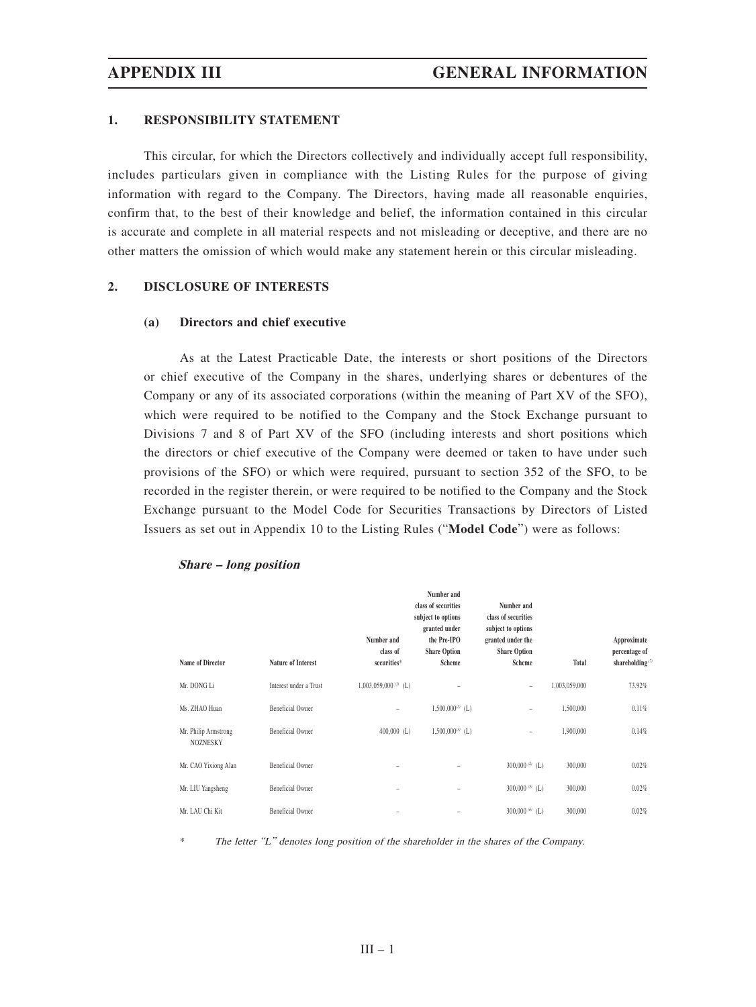## **1. RESPONSIBILITY STATEMENT**

This circular, for which the Directors collectively and individually accept full responsibility, includes particulars given in compliance with the Listing Rules for the purpose of giving information with regard to the Company. The Directors, having made all reasonable enquiries, confirm that, to the best of their knowledge and belief, the information contained in this circular is accurate and complete in all material respects and not misleading or deceptive, and there are no other matters the omission of which would make any statement herein or this circular misleading.

# **2. DISCLOSURE OF INTERESTS**

### **(a) Directors and chief executive**

As at the Latest Practicable Date, the interests or short positions of the Directors or chief executive of the Company in the shares, underlying shares or debentures of the Company or any of its associated corporations (within the meaning of Part XV of the SFO), which were required to be notified to the Company and the Stock Exchange pursuant to Divisions 7 and 8 of Part XV of the SFO (including interests and short positions which the directors or chief executive of the Company were deemed or taken to have under such provisions of the SFO) or which were required, pursuant to section 352 of the SFO, to be recorded in the register therein, or were required to be notified to the Company and the Stock Exchange pursuant to the Model Code for Securities Transactions by Directors of Listed Issuers as set out in Appendix 10 to the Listing Rules ("**Model Code**") were as follows:

| class of                 | the Pre-IPO<br>Scheme                                              | Number and<br>class of securities<br>subject to options<br>granted under the<br><b>Share Option</b><br>Scheme | Total         | Approximate<br>percentage of<br>shareholding <sup>7</sup> |
|--------------------------|--------------------------------------------------------------------|---------------------------------------------------------------------------------------------------------------|---------------|-----------------------------------------------------------|
|                          |                                                                    | $\overline{\phantom{a}}$                                                                                      | 1,003,059,000 | 73.92%                                                    |
| $\overline{\phantom{a}}$ | $1,500,000^{29}$ (L)                                               | -                                                                                                             | 1,500,000     | 0.11%                                                     |
| $400,000$ (L)            | $1,500,000^{(3)}$ (L)                                              | -                                                                                                             | 1,900,000     | 0.14%                                                     |
|                          | $\overline{\phantom{a}}$                                           | 300,000 $(4)$ (L)                                                                                             | 300,000       | 0.02%                                                     |
| $\sim$                   | $\overline{\phantom{a}}$                                           | 300,000 $(5)$ (L)                                                                                             | 300,000       | 0.02%                                                     |
|                          |                                                                    | 300,000 $(6)$ (L)                                                                                             | 300,000       | 0.02%                                                     |
|                          | Number and<br>securities*<br>$1,003,059,000 \,$ <sup>(1)</sup> (L) | class of securities<br>subject to options<br>granted under<br><b>Share Option</b>                             |               |                                                           |

### **Share – long position**

The letter "L" denotes long position of the shareholder in the shares of the Company.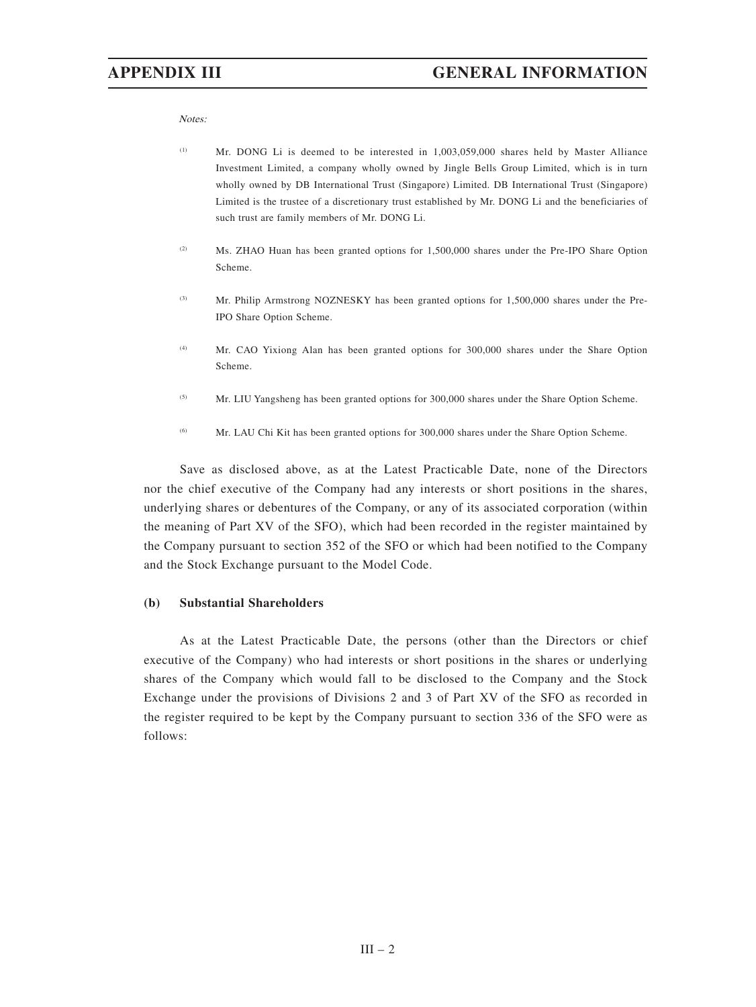### Notes:

- (1) Mr. DONG Li is deemed to be interested in 1,003,059,000 shares held by Master Alliance Investment Limited, a company wholly owned by Jingle Bells Group Limited, which is in turn wholly owned by DB International Trust (Singapore) Limited. DB International Trust (Singapore) Limited is the trustee of a discretionary trust established by Mr. DONG Li and the beneficiaries of such trust are family members of Mr. DONG Li.
- (2) Ms. ZHAO Huan has been granted options for 1,500,000 shares under the Pre-IPO Share Option Scheme.
- (3) Mr. Philip Armstrong NOZNESKY has been granted options for 1,500,000 shares under the Pre-IPO Share Option Scheme.
- (4) Mr. CAO Yixiong Alan has been granted options for 300,000 shares under the Share Option Scheme.
- <sup>(5)</sup> Mr. LIU Yangsheng has been granted options for 300,000 shares under the Share Option Scheme.
- (6) Mr. LAU Chi Kit has been granted options for 300,000 shares under the Share Option Scheme.

Save as disclosed above, as at the Latest Practicable Date, none of the Directors nor the chief executive of the Company had any interests or short positions in the shares, underlying shares or debentures of the Company, or any of its associated corporation (within the meaning of Part XV of the SFO), which had been recorded in the register maintained by the Company pursuant to section 352 of the SFO or which had been notified to the Company and the Stock Exchange pursuant to the Model Code.

## **(b) Substantial Shareholders**

As at the Latest Practicable Date, the persons (other than the Directors or chief executive of the Company) who had interests or short positions in the shares or underlying shares of the Company which would fall to be disclosed to the Company and the Stock Exchange under the provisions of Divisions 2 and 3 of Part XV of the SFO as recorded in the register required to be kept by the Company pursuant to section 336 of the SFO were as follows: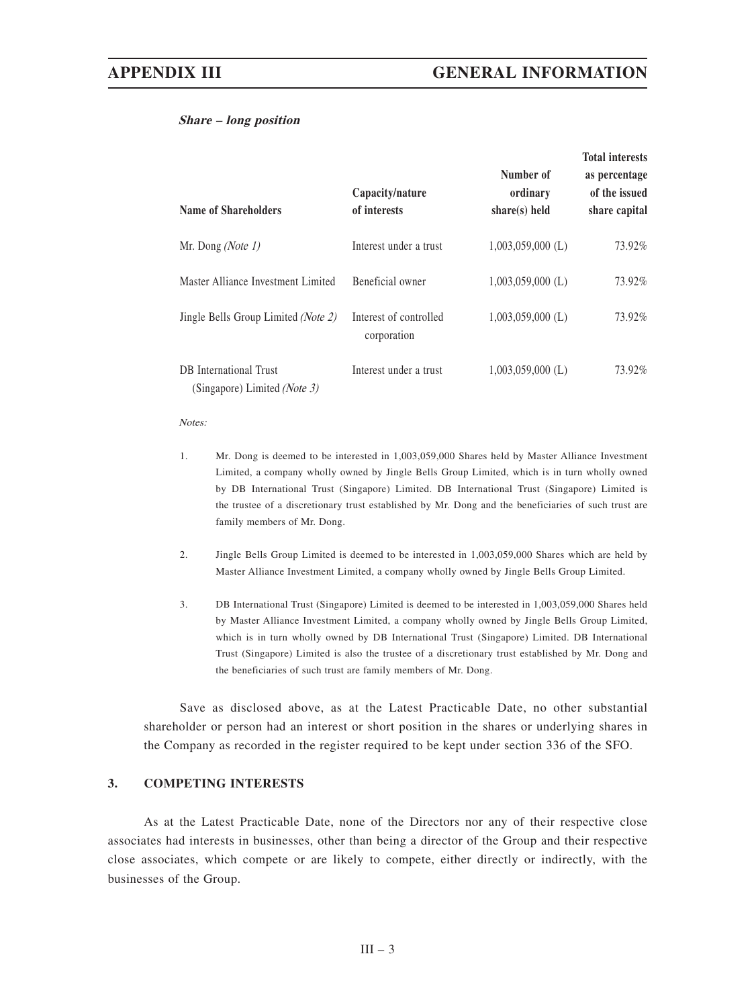### **Share – long position**

| <b>Name of Shareholders</b>                                          | Capacity/nature<br>of interests       | Number of<br>ordinary<br>$share(s)$ held | <b>Total interests</b><br>as percentage<br>of the issued<br>share capital |
|----------------------------------------------------------------------|---------------------------------------|------------------------------------------|---------------------------------------------------------------------------|
| Mr. Dong ( <i>Note 1</i> )                                           | Interest under a trust                | $1.003.059.000$ (L)                      | 73.92%                                                                    |
| Master Alliance Investment Limited                                   | Beneficial owner                      | $1,003,059,000$ (L)                      | 73.92%                                                                    |
| Jingle Bells Group Limited (Note 2)                                  | Interest of controlled<br>corporation | $1,003,059,000$ (L)                      | 73.92%                                                                    |
| <b>DB</b> International Trust<br>(Singapore) Limited <i>(Note 3)</i> | Interest under a trust                | $1,003,059,000$ (L)                      | 73.92%                                                                    |

### Notes:

- 1. Mr. Dong is deemed to be interested in 1,003,059,000 Shares held by Master Alliance Investment Limited, a company wholly owned by Jingle Bells Group Limited, which is in turn wholly owned by DB International Trust (Singapore) Limited. DB International Trust (Singapore) Limited is the trustee of a discretionary trust established by Mr. Dong and the beneficiaries of such trust are family members of Mr. Dong.
- 2. Jingle Bells Group Limited is deemed to be interested in 1,003,059,000 Shares which are held by Master Alliance Investment Limited, a company wholly owned by Jingle Bells Group Limited.
- 3. DB International Trust (Singapore) Limited is deemed to be interested in 1,003,059,000 Shares held by Master Alliance Investment Limited, a company wholly owned by Jingle Bells Group Limited, which is in turn wholly owned by DB International Trust (Singapore) Limited. DB International Trust (Singapore) Limited is also the trustee of a discretionary trust established by Mr. Dong and the beneficiaries of such trust are family members of Mr. Dong.

Save as disclosed above, as at the Latest Practicable Date, no other substantial shareholder or person had an interest or short position in the shares or underlying shares in the Company as recorded in the register required to be kept under section 336 of the SFO.

# **3. COMPETING INTERESTS**

As at the Latest Practicable Date, none of the Directors nor any of their respective close associates had interests in businesses, other than being a director of the Group and their respective close associates, which compete or are likely to compete, either directly or indirectly, with the businesses of the Group.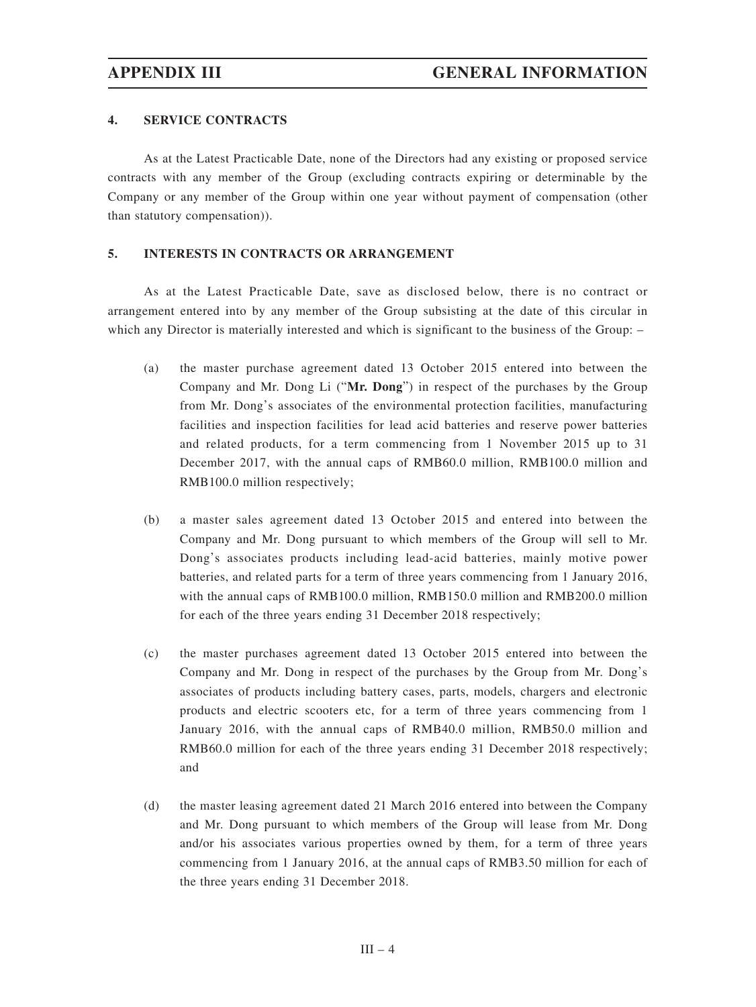# **4. SERVICE CONTRACTS**

As at the Latest Practicable Date, none of the Directors had any existing or proposed service contracts with any member of the Group (excluding contracts expiring or determinable by the Company or any member of the Group within one year without payment of compensation (other than statutory compensation)).

# **5. INTERESTS IN CONTRACTS OR ARRANGEMENT**

As at the Latest Practicable Date, save as disclosed below, there is no contract or arrangement entered into by any member of the Group subsisting at the date of this circular in which any Director is materially interested and which is significant to the business of the Group:  $-$ 

- (a) the master purchase agreement dated 13 October 2015 entered into between the Company and Mr. Dong Li ("**Mr. Dong**") in respect of the purchases by the Group from Mr. Dong's associates of the environmental protection facilities, manufacturing facilities and inspection facilities for lead acid batteries and reserve power batteries and related products, for a term commencing from 1 November 2015 up to 31 December 2017, with the annual caps of RMB60.0 million, RMB100.0 million and RMB100.0 million respectively;
- (b) a master sales agreement dated 13 October 2015 and entered into between the Company and Mr. Dong pursuant to which members of the Group will sell to Mr. Dong's associates products including lead-acid batteries, mainly motive power batteries, and related parts for a term of three years commencing from 1 January 2016, with the annual caps of RMB100.0 million, RMB150.0 million and RMB200.0 million for each of the three years ending 31 December 2018 respectively;
- (c) the master purchases agreement dated 13 October 2015 entered into between the Company and Mr. Dong in respect of the purchases by the Group from Mr. Dong's associates of products including battery cases, parts, models, chargers and electronic products and electric scooters etc, for a term of three years commencing from 1 January 2016, with the annual caps of RMB40.0 million, RMB50.0 million and RMB60.0 million for each of the three years ending 31 December 2018 respectively; and
- (d) the master leasing agreement dated 21 March 2016 entered into between the Company and Mr. Dong pursuant to which members of the Group will lease from Mr. Dong and/or his associates various properties owned by them, for a term of three years commencing from 1 January 2016, at the annual caps of RMB3.50 million for each of the three years ending 31 December 2018.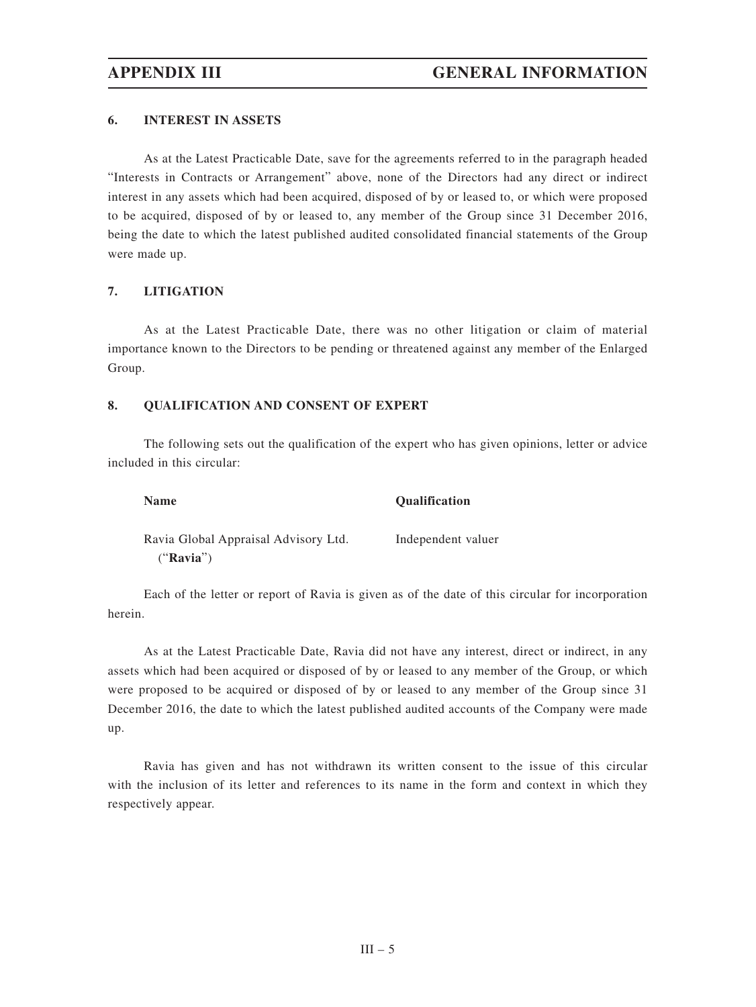# **6. INTEREST IN ASSETS**

As at the Latest Practicable Date, save for the agreements referred to in the paragraph headed "Interests in Contracts or Arrangement" above, none of the Directors had any direct or indirect interest in any assets which had been acquired, disposed of by or leased to, or which were proposed to be acquired, disposed of by or leased to, any member of the Group since 31 December 2016, being the date to which the latest published audited consolidated financial statements of the Group were made up.

# **7. LITIGATION**

As at the Latest Practicable Date, there was no other litigation or claim of material importance known to the Directors to be pending or threatened against any member of the Enlarged Group.

## **8. QUALIFICATION AND CONSENT OF EXPERT**

The following sets out the qualification of the expert who has given opinions, letter or advice included in this circular:

| <b>Name</b>                          | <b>Oualification</b> |
|--------------------------------------|----------------------|
| Ravia Global Appraisal Advisory Ltd. | Independent valuer   |
| ("Ravia")                            |                      |

Each of the letter or report of Ravia is given as of the date of this circular for incorporation herein.

As at the Latest Practicable Date, Ravia did not have any interest, direct or indirect, in any assets which had been acquired or disposed of by or leased to any member of the Group, or which were proposed to be acquired or disposed of by or leased to any member of the Group since 31 December 2016, the date to which the latest published audited accounts of the Company were made up.

Ravia has given and has not withdrawn its written consent to the issue of this circular with the inclusion of its letter and references to its name in the form and context in which they respectively appear.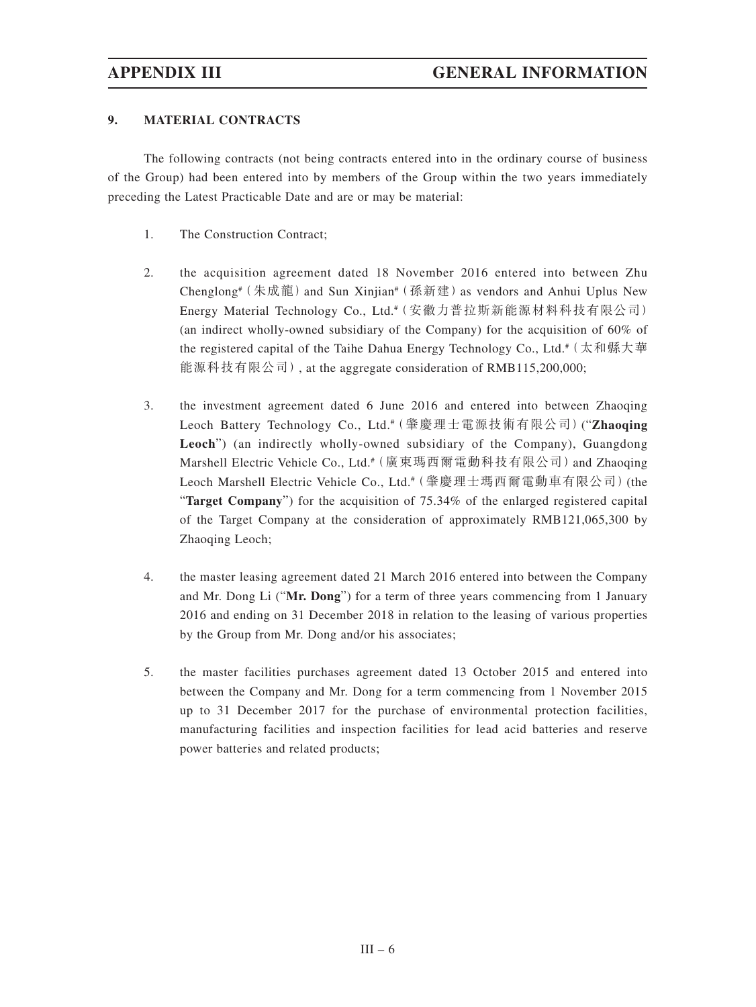# **9. MATERIAL CONTRACTS**

The following contracts (not being contracts entered into in the ordinary course of business of the Group) had been entered into by members of the Group within the two years immediately preceding the Latest Practicable Date and are or may be material:

- 1. The Construction Contract;
- 2. the acquisition agreement dated 18 November 2016 entered into between Zhu Chenglong# (朱成龍)and Sun Xinjian# (孫新建)as vendors and Anhui Uplus New Energy Material Technology Co., Ltd.# (安徽力普拉斯新能源材料科技有限公司) (an indirect wholly-owned subsidiary of the Company) for the acquisition of 60% of the registered capital of the Taihe Dahua Energy Technology Co., Ltd.# (太和縣大華 能源科技有限公司), at the aggregate consideration of RMB115,200,000;
- 3. the investment agreement dated 6 June 2016 and entered into between Zhaoqing Leoch Battery Technology Co., Ltd.# (肇慶理士電源技術有限公司)("**Zhaoqing Leoch**") (an indirectly wholly-owned subsidiary of the Company), Guangdong Marshell Electric Vehicle Co., Ltd.# (廣東瑪西爾電動科技有限公司) and Zhaoqing Leoch Marshell Electric Vehicle Co., Ltd.# (肇慶理士瑪西爾電動車有限公司) (the "**Target Company**") for the acquisition of 75.34% of the enlarged registered capital of the Target Company at the consideration of approximately RMB121,065,300 by Zhaoqing Leoch;
- 4. the master leasing agreement dated 21 March 2016 entered into between the Company and Mr. Dong Li ("**Mr. Dong**") for a term of three years commencing from 1 January 2016 and ending on 31 December 2018 in relation to the leasing of various properties by the Group from Mr. Dong and/or his associates;
- 5. the master facilities purchases agreement dated 13 October 2015 and entered into between the Company and Mr. Dong for a term commencing from 1 November 2015 up to 31 December 2017 for the purchase of environmental protection facilities, manufacturing facilities and inspection facilities for lead acid batteries and reserve power batteries and related products;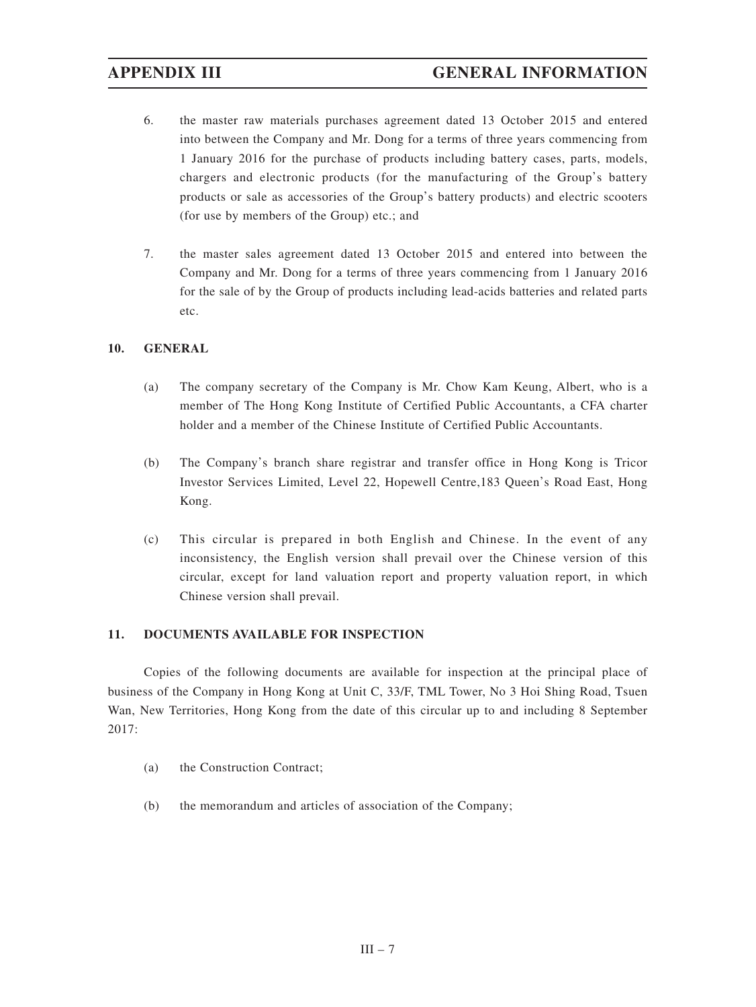- 6. the master raw materials purchases agreement dated 13 October 2015 and entered into between the Company and Mr. Dong for a terms of three years commencing from 1 January 2016 for the purchase of products including battery cases, parts, models, chargers and electronic products (for the manufacturing of the Group's battery products or sale as accessories of the Group's battery products) and electric scooters (for use by members of the Group) etc.; and
- 7. the master sales agreement dated 13 October 2015 and entered into between the Company and Mr. Dong for a terms of three years commencing from 1 January 2016 for the sale of by the Group of products including lead-acids batteries and related parts etc.

# **10. GENERAL**

- (a) The company secretary of the Company is Mr. Chow Kam Keung, Albert, who is a member of The Hong Kong Institute of Certified Public Accountants, a CFA charter holder and a member of the Chinese Institute of Certified Public Accountants.
- (b) The Company's branch share registrar and transfer office in Hong Kong is Tricor Investor Services Limited, Level 22, Hopewell Centre,183 Queen's Road East, Hong Kong.
- (c) This circular is prepared in both English and Chinese. In the event of any inconsistency, the English version shall prevail over the Chinese version of this circular, except for land valuation report and property valuation report, in which Chinese version shall prevail.

# **11. DOCUMENTS AVAILABLE FOR INSPECTION**

Copies of the following documents are available for inspection at the principal place of business of the Company in Hong Kong at Unit C, 33/F, TML Tower, No 3 Hoi Shing Road, Tsuen Wan, New Territories, Hong Kong from the date of this circular up to and including 8 September 2017:

- (a) the Construction Contract;
- (b) the memorandum and articles of association of the Company;